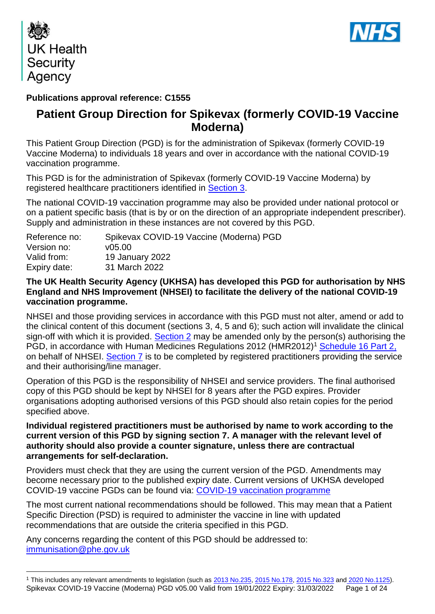

1



### **Publications approval reference: C1555**

## **Patient Group Direction for Spikevax (formerly COVID-19 Vaccine Moderna)**

This Patient Group Direction (PGD) is for the administration of Spikevax (formerly COVID-19 Vaccine Moderna) to individuals 18 years and over in accordance with the national COVID-19 vaccination programme.

This PGD is for the administration of Spikevax (formerly COVID-19 Vaccine Moderna) by registered healthcare practitioners identified in [Section 3.](#page-6-0)

The national COVID-19 vaccination programme may also be provided under national protocol or on a patient specific basis (that is by or on the direction of an appropriate independent prescriber). Supply and administration in these instances are not covered by this PGD.

| Reference no: | Spikevax COVID-19 Vaccine (Moderna) PGD |
|---------------|-----------------------------------------|
| Version no:   | v05.00                                  |
| Valid from:   | <b>19 January 2022</b>                  |
| Expiry date:  | 31 March 2022                           |

### **The UK Health Security Agency (UKHSA) has developed this PGD for authorisation by NHS England and NHS Improvement (NHSEI) to facilitate the delivery of the national COVID-19 vaccination programme.**

NHSEI and those providing services in accordance with this PGD must not alter, amend or add to the clinical content of this document (sections 3, 4, 5 and 6); such action will invalidate the clinical sign-off with which it is provided. [Section 2](#page-4-0) may be amended only by the person(s) authorising the PGD, in accordance with Human Medicines Regulations 2012 (HMR2012)<sup>1</sup> [Schedule 16 Part 2,](http://www.legislation.gov.uk/uksi/2012/1916/schedule/16/part/2/made) on behalf of NHSEI. [Section 7](#page-23-0) is to be completed by registered practitioners providing the service and their authorising/line manager.

Operation of this PGD is the responsibility of NHSEI and service providers. The final authorised copy of this PGD should be kept by NHSEI for 8 years after the PGD expires. Provider organisations adopting authorised versions of this PGD should also retain copies for the period specified above.

### **Individual registered practitioners must be authorised by name to work according to the current version of this PGD by signing section 7. A manager with the relevant level of authority should also provide a counter signature, unless there are contractual arrangements for self-declaration.**

Providers must check that they are using the current version of the PGD. Amendments may become necessary prior to the published expiry date. Current versions of UKHSA developed COVID-19 vaccine PGDs can be found via: [COVID-19 vaccination programme](https://www.gov.uk/government/collections/covid-19-vaccination-programme)

The most current national recommendations should be followed. This may mean that a Patient Specific Direction (PSD) is required to administer the vaccine in line with updated recommendations that are outside the criteria specified in this PGD.

Any concerns regarding the content of this PGD should be addressed to: [immunisation@phe.gov.uk](mailto:immunisation@phe.gov.uk)

Spikevax COVID-19 Vaccine (Moderna) PGD v05.00 Valid from 19/01/2022 Expiry: 31/03/2022 Page 1 of 24 <sup>1</sup> This includes any relevant amendments to legislation (such as [2013 No.235,](http://www.legislation.gov.uk/uksi/2013/235/contents/made) [2015 No.178,](http://www.legislation.gov.uk/nisr/2015/178/contents/made) [2015 No.323](http://www.legislation.gov.uk/uksi/2015/323/contents/made) and [2020 No.1125\)](https://www.legislation.gov.uk/uksi/2020/1125/contents/made).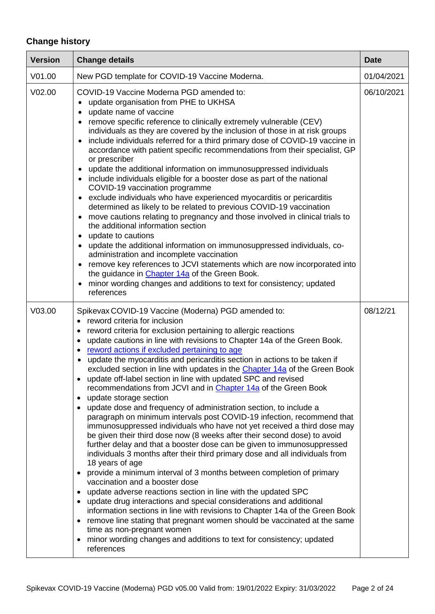# **Change history**

| <b>Version</b>     | <b>Change details</b>                                                                                                                                                                                                                                                                                                                                                                                                                                                                                                                                                                                                                                                                                                                                                                                                                                                                                                                                                                                                                                                                                                                                                                                                                                                                                                                                                                                                                                                                                                                                                                                                                                                                                                                                                         | <b>Date</b> |
|--------------------|-------------------------------------------------------------------------------------------------------------------------------------------------------------------------------------------------------------------------------------------------------------------------------------------------------------------------------------------------------------------------------------------------------------------------------------------------------------------------------------------------------------------------------------------------------------------------------------------------------------------------------------------------------------------------------------------------------------------------------------------------------------------------------------------------------------------------------------------------------------------------------------------------------------------------------------------------------------------------------------------------------------------------------------------------------------------------------------------------------------------------------------------------------------------------------------------------------------------------------------------------------------------------------------------------------------------------------------------------------------------------------------------------------------------------------------------------------------------------------------------------------------------------------------------------------------------------------------------------------------------------------------------------------------------------------------------------------------------------------------------------------------------------------|-------------|
| V01.00             | New PGD template for COVID-19 Vaccine Moderna.                                                                                                                                                                                                                                                                                                                                                                                                                                                                                                                                                                                                                                                                                                                                                                                                                                                                                                                                                                                                                                                                                                                                                                                                                                                                                                                                                                                                                                                                                                                                                                                                                                                                                                                                | 01/04/2021  |
| V <sub>02.00</sub> | COVID-19 Vaccine Moderna PGD amended to:<br>update organisation from PHE to UKHSA<br>update name of vaccine<br>$\bullet$<br>remove specific reference to clinically extremely vulnerable (CEV)<br>$\bullet$<br>individuals as they are covered by the inclusion of those in at risk groups<br>include individuals referred for a third primary dose of COVID-19 vaccine in<br>$\bullet$<br>accordance with patient specific recommendations from their specialist, GP<br>or prescriber<br>update the additional information on immunosuppressed individuals<br>٠<br>include individuals eligible for a booster dose as part of the national<br>$\bullet$<br>COVID-19 vaccination programme<br>exclude individuals who have experienced myocarditis or pericarditis<br>$\bullet$<br>determined as likely to be related to previous COVID-19 vaccination<br>move cautions relating to pregnancy and those involved in clinical trials to<br>$\bullet$<br>the additional information section<br>update to cautions<br>$\bullet$<br>update the additional information on immunosuppressed individuals, co-<br>$\bullet$<br>administration and incomplete vaccination<br>remove key references to JCVI statements which are now incorporated into<br>the guidance in <i>Chapter</i> 14a of the Green Book.<br>minor wording changes and additions to text for consistency; updated<br>$\bullet$<br>references                                                                                                                                                                                                                                                                                                                                                                      | 06/10/2021  |
| V03.00             | Spikevax COVID-19 Vaccine (Moderna) PGD amended to:<br>reword criteria for inclusion<br>$\bullet$<br>reword criteria for exclusion pertaining to allergic reactions<br>$\bullet$<br>update cautions in line with revisions to Chapter 14a of the Green Book.<br>$\bullet$<br>reword actions if excluded pertaining to age<br>$\bullet$<br>update the myocarditis and pericarditis section in actions to be taken if<br>$\bullet$<br>excluded section in line with updates in the Chapter 14a of the Green Book<br>update off-label section in line with updated SPC and revised<br>recommendations from JCVI and in Chapter 14a of the Green Book<br>update storage section<br>$\bullet$<br>update dose and frequency of administration section, to include a<br>$\bullet$<br>paragraph on minimum intervals post COVID-19 infection, recommend that<br>immunosuppressed individuals who have not yet received a third dose may<br>be given their third dose now (8 weeks after their second dose) to avoid<br>further delay and that a booster dose can be given to immunosuppressed<br>individuals 3 months after their third primary dose and all individuals from<br>18 years of age<br>provide a minimum interval of 3 months between completion of primary<br>$\bullet$<br>vaccination and a booster dose<br>update adverse reactions section in line with the updated SPC<br>$\bullet$<br>update drug interactions and special considerations and additional<br>information sections in line with revisions to Chapter 14a of the Green Book<br>remove line stating that pregnant women should be vaccinated at the same<br>$\bullet$<br>time as non-pregnant women<br>minor wording changes and additions to text for consistency; updated<br>$\bullet$<br>references | 08/12/21    |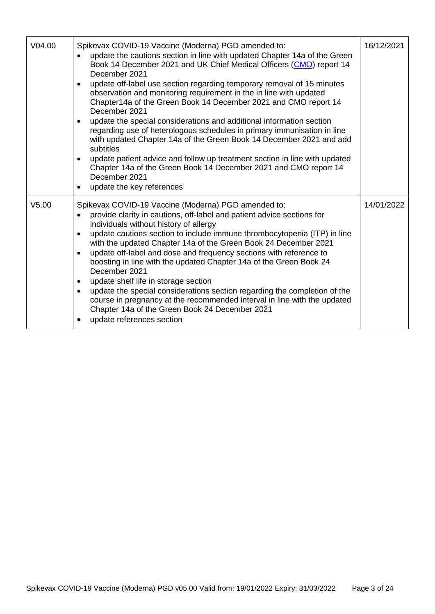| V <sub>04.00</sub> | Spikevax COVID-19 Vaccine (Moderna) PGD amended to:<br>update the cautions section in line with updated Chapter 14a of the Green<br>$\bullet$<br>Book 14 December 2021 and UK Chief Medical Officers (CMO) report 14<br>December 2021<br>update off-label use section regarding temporary removal of 15 minutes<br>$\bullet$<br>observation and monitoring requirement in the in line with updated<br>Chapter14a of the Green Book 14 December 2021 and CMO report 14<br>December 2021<br>update the special considerations and additional information section<br>$\bullet$<br>regarding use of heterologous schedules in primary immunisation in line<br>with updated Chapter 14a of the Green Book 14 December 2021 and add<br>subtitles<br>update patient advice and follow up treatment section in line with updated<br>$\bullet$<br>Chapter 14a of the Green Book 14 December 2021 and CMO report 14<br>December 2021<br>update the key references<br>$\bullet$ | 16/12/2021 |
|--------------------|----------------------------------------------------------------------------------------------------------------------------------------------------------------------------------------------------------------------------------------------------------------------------------------------------------------------------------------------------------------------------------------------------------------------------------------------------------------------------------------------------------------------------------------------------------------------------------------------------------------------------------------------------------------------------------------------------------------------------------------------------------------------------------------------------------------------------------------------------------------------------------------------------------------------------------------------------------------------|------------|
| V <sub>5.00</sub>  | Spikevax COVID-19 Vaccine (Moderna) PGD amended to:<br>provide clarity in cautions, off-label and patient advice sections for<br>$\bullet$<br>individuals without history of allergy<br>update cautions section to include immune thrombocytopenia (ITP) in line<br>$\bullet$<br>with the updated Chapter 14a of the Green Book 24 December 2021<br>update off-label and dose and frequency sections with reference to<br>$\bullet$<br>boosting in line with the updated Chapter 14a of the Green Book 24<br>December 2021<br>update shelf life in storage section<br>$\bullet$<br>update the special considerations section regarding the completion of the<br>$\bullet$<br>course in pregnancy at the recommended interval in line with the updated<br>Chapter 14a of the Green Book 24 December 2021<br>update references section                                                                                                                                 | 14/01/2022 |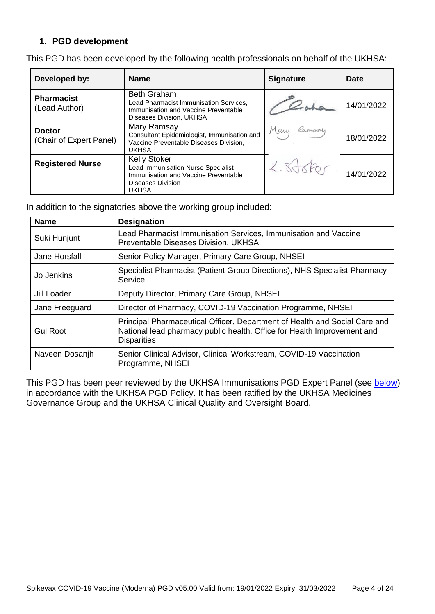### **1. PGD development**

This PGD has been developed by the following health professionals on behalf of the UKHSA:

| Developed by:                            | <b>Name</b>                                                                                                                                          | <b>Signature</b> | Date       |
|------------------------------------------|------------------------------------------------------------------------------------------------------------------------------------------------------|------------------|------------|
| <b>Pharmacist</b><br>(Lead Author)       | <b>Beth Graham</b><br>Lead Pharmacist Immunisation Services.<br>Immunisation and Vaccine Preventable<br>Diseases Division, UKHSA                     |                  | 14/01/2022 |
| <b>Doctor</b><br>(Chair of Expert Panel) | Mary Ramsay<br>Consultant Epidemiologist, Immunisation and<br>Vaccine Preventable Diseases Division,<br><b>UKHSA</b>                                 | Many<br>Ramsay   | 18/01/2022 |
| <b>Registered Nurse</b>                  | <b>Kelly Stoker</b><br><b>Lead Immunisation Nurse Specialist</b><br>Immunisation and Vaccine Preventable<br><b>Diseases Division</b><br><b>UKHSA</b> |                  | 14/01/2022 |

In addition to the signatories above the working group included:

| <b>Name</b>     | <b>Designation</b>                                                                                                                                                          |
|-----------------|-----------------------------------------------------------------------------------------------------------------------------------------------------------------------------|
| Suki Hunjunt    | Lead Pharmacist Immunisation Services, Immunisation and Vaccine<br>Preventable Diseases Division, UKHSA                                                                     |
| Jane Horsfall   | Senior Policy Manager, Primary Care Group, NHSEI                                                                                                                            |
| Jo Jenkins      | Specialist Pharmacist (Patient Group Directions), NHS Specialist Pharmacy<br>Service                                                                                        |
| Jill Loader     | Deputy Director, Primary Care Group, NHSEI                                                                                                                                  |
| Jane Freeguard  | Director of Pharmacy, COVID-19 Vaccination Programme, NHSEI                                                                                                                 |
| <b>Gul Root</b> | Principal Pharmaceutical Officer, Department of Health and Social Care and<br>National lead pharmacy public health, Office for Health Improvement and<br><b>Disparities</b> |
| Naveen Dosanjh  | Senior Clinical Advisor, Clinical Workstream, COVID-19 Vaccination<br>Programme, NHSEI                                                                                      |

This PGD has been peer reviewed by the UKHSA Immunisations PGD Expert Panel (see [below\)](#page-4-1) in accordance with the UKHSA PGD Policy. It has been ratified by the UKHSA Medicines Governance Group and the UKHSA Clinical Quality and Oversight Board.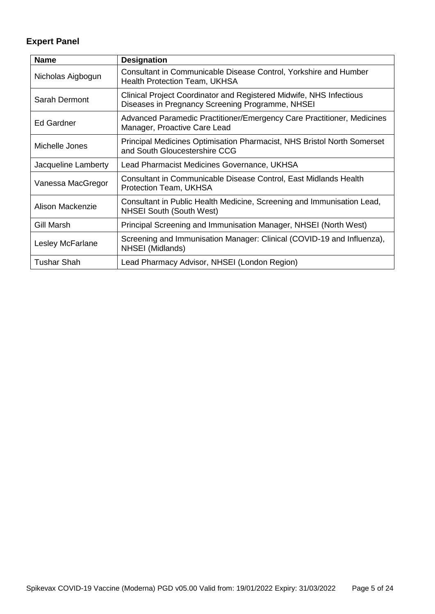# <span id="page-4-1"></span>**Expert Panel**

<span id="page-4-0"></span>

| <b>Name</b>         | <b>Designation</b>                                                                                                      |
|---------------------|-------------------------------------------------------------------------------------------------------------------------|
| Nicholas Aigbogun   | Consultant in Communicable Disease Control, Yorkshire and Humber<br><b>Health Protection Team, UKHSA</b>                |
| Sarah Dermont       | Clinical Project Coordinator and Registered Midwife, NHS Infectious<br>Diseases in Pregnancy Screening Programme, NHSEI |
| Ed Gardner          | Advanced Paramedic Practitioner/Emergency Care Practitioner, Medicines<br>Manager, Proactive Care Lead                  |
| Michelle Jones      | Principal Medicines Optimisation Pharmacist, NHS Bristol North Somerset<br>and South Gloucestershire CCG                |
| Jacqueline Lamberty | Lead Pharmacist Medicines Governance, UKHSA                                                                             |
| Vanessa MacGregor   | Consultant in Communicable Disease Control, East Midlands Health<br><b>Protection Team, UKHSA</b>                       |
| Alison Mackenzie    | Consultant in Public Health Medicine, Screening and Immunisation Lead,<br><b>NHSEI South (South West)</b>               |
| Gill Marsh          | Principal Screening and Immunisation Manager, NHSEI (North West)                                                        |
| Lesley McFarlane    | Screening and Immunisation Manager: Clinical (COVID-19 and Influenza),<br>NHSEI (Midlands)                              |
| <b>Tushar Shah</b>  | Lead Pharmacy Advisor, NHSEI (London Region)                                                                            |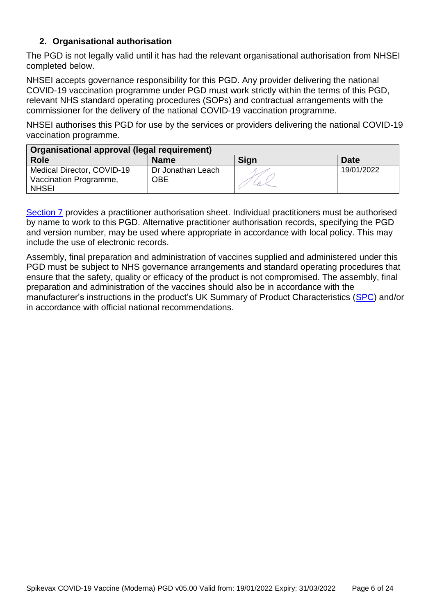### **2. Organisational authorisation**

The PGD is not legally valid until it has had the relevant organisational authorisation from NHSEI completed below.

NHSEI accepts governance responsibility for this PGD. Any provider delivering the national COVID-19 vaccination programme under PGD must work strictly within the terms of this PGD, relevant NHS standard operating procedures (SOPs) and contractual arrangements with the commissioner for the delivery of the national COVID-19 vaccination programme.

NHSEI authorises this PGD for use by the services or providers delivering the national COVID-19 vaccination programme.

| Organisational approval (legal requirement)                          |                                 |      |            |
|----------------------------------------------------------------------|---------------------------------|------|------------|
| <b>Role</b>                                                          | <b>Name</b>                     | Sign | Date       |
| Medical Director, COVID-19<br>Vaccination Programme,<br><b>NHSEI</b> | Dr Jonathan Leach<br><b>OBE</b> |      | 19/01/2022 |

[Section 7](#page-23-0) provides a practitioner authorisation sheet. Individual practitioners must be authorised by name to work to this PGD. Alternative practitioner authorisation records, specifying the PGD and version number, may be used where appropriate in accordance with local policy. This may include the use of electronic records.

Assembly, final preparation and administration of vaccines supplied and administered under this PGD must be subject to NHS governance arrangements and standard operating procedures that ensure that the safety, quality or efficacy of the product is not compromised. The assembly, final preparation and administration of the vaccines should also be in accordance with the manufacturer's instructions in the product's UK Summary of Product Characteristics [\(SPC\)](https://www.gov.uk/government/publications/regulatory-approval-of-covid-19-vaccine-moderna) and/or in accordance with official national recommendations.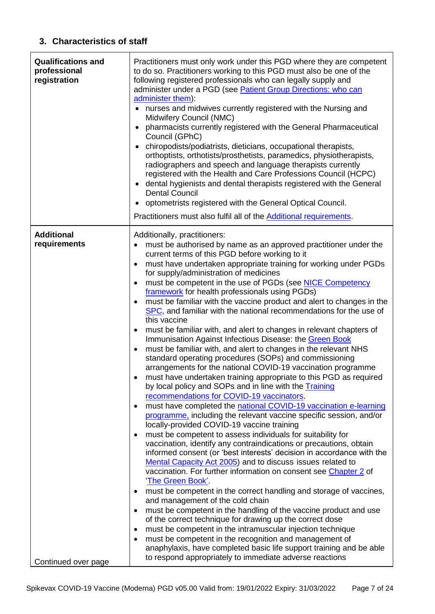## <span id="page-6-0"></span>**3. Characteristics of staff**

<span id="page-6-1"></span>

| <b>Qualifications and</b><br>professional<br>registration | Practitioners must only work under this PGD where they are competent<br>to do so. Practitioners working to this PGD must also be one of the<br>following registered professionals who can legally supply and<br>administer under a PGD (see Patient Group Directions: who can<br>administer them):<br>nurses and midwives currently registered with the Nursing and<br>$\bullet$<br>Midwifery Council (NMC)<br>pharmacists currently registered with the General Pharmaceutical<br>$\bullet$<br>Council (GPhC)<br>chiropodists/podiatrists, dieticians, occupational therapists,<br>orthoptists, orthotists/prosthetists, paramedics, physiotherapists,<br>radiographers and speech and language therapists currently<br>registered with the Health and Care Professions Council (HCPC)<br>dental hygienists and dental therapists registered with the General<br>$\bullet$<br><b>Dental Council</b><br>optometrists registered with the General Optical Council.<br>Practitioners must also fulfil all of the Additional requirements.                                                                                                                                                                                                                                                                                                                                                                                                                                                                                                                                                                                                                                                                                                                                                                                                                                                                                                                                                                                                                                                                                                                                                                                                                                             |
|-----------------------------------------------------------|-------------------------------------------------------------------------------------------------------------------------------------------------------------------------------------------------------------------------------------------------------------------------------------------------------------------------------------------------------------------------------------------------------------------------------------------------------------------------------------------------------------------------------------------------------------------------------------------------------------------------------------------------------------------------------------------------------------------------------------------------------------------------------------------------------------------------------------------------------------------------------------------------------------------------------------------------------------------------------------------------------------------------------------------------------------------------------------------------------------------------------------------------------------------------------------------------------------------------------------------------------------------------------------------------------------------------------------------------------------------------------------------------------------------------------------------------------------------------------------------------------------------------------------------------------------------------------------------------------------------------------------------------------------------------------------------------------------------------------------------------------------------------------------------------------------------------------------------------------------------------------------------------------------------------------------------------------------------------------------------------------------------------------------------------------------------------------------------------------------------------------------------------------------------------------------------------------------------------------------------------------------------------------------|
| <b>Additional</b><br>requirements                         | Additionally, practitioners:<br>must be authorised by name as an approved practitioner under the<br>$\bullet$<br>current terms of this PGD before working to it<br>must have undertaken appropriate training for working under PGDs<br>$\bullet$<br>for supply/administration of medicines<br>must be competent in the use of PGDs (see NICE Competency<br>$\bullet$<br>framework for health professionals using PGDs)<br>must be familiar with the vaccine product and alert to changes in the<br>$\bullet$<br>SPC, and familiar with the national recommendations for the use of<br>this vaccine<br>must be familiar with, and alert to changes in relevant chapters of<br>٠<br>Immunisation Against Infectious Disease: the Green Book<br>must be familiar with, and alert to changes in the relevant NHS<br>$\bullet$<br>standard operating procedures (SOPs) and commissioning<br>arrangements for the national COVID-19 vaccination programme<br>must have undertaken training appropriate to this PGD as required<br>٠<br>by local policy and SOPs and in line with the Training<br>recommendations for COVID-19 vaccinators.<br>must have completed the national COVID-19 vaccination e-learning<br>$\bullet$<br>programme, including the relevant vaccine specific session, and/or<br>locally-provided COVID-19 vaccine training<br>must be competent to assess individuals for suitability for<br>$\bullet$<br>vaccination, identify any contraindications or precautions, obtain<br>informed consent (or 'best interests' decision in accordance with the<br>Mental Capacity Act 2005) and to discuss issues related to<br>vaccination. For further information on consent see Chapter 2 of<br>'The Green Book'.<br>must be competent in the correct handling and storage of vaccines,<br>$\bullet$<br>and management of the cold chain<br>must be competent in the handling of the vaccine product and use<br>$\bullet$<br>of the correct technique for drawing up the correct dose<br>must be competent in the intramuscular injection technique<br>$\bullet$<br>must be competent in the recognition and management of<br>$\bullet$<br>anaphylaxis, have completed basic life support training and be able<br>to respond appropriately to immediate adverse reactions |
| Continued over page                                       |                                                                                                                                                                                                                                                                                                                                                                                                                                                                                                                                                                                                                                                                                                                                                                                                                                                                                                                                                                                                                                                                                                                                                                                                                                                                                                                                                                                                                                                                                                                                                                                                                                                                                                                                                                                                                                                                                                                                                                                                                                                                                                                                                                                                                                                                                     |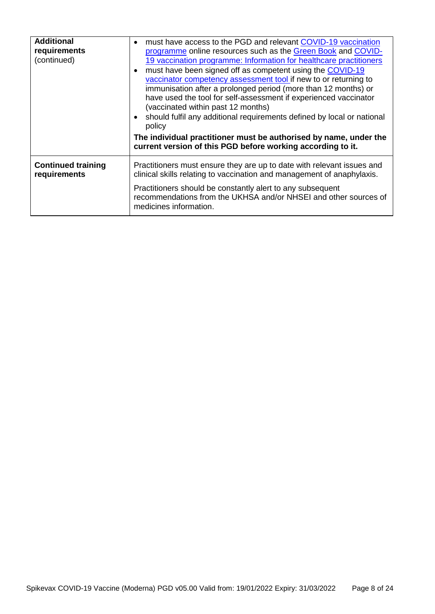| <b>Additional</b><br>requirements<br>(continued) | must have access to the PGD and relevant COVID-19 vaccination<br>programme online resources such as the Green Book and COVID-<br>19 vaccination programme: Information for healthcare practitioners<br>must have been signed off as competent using the COVID-19<br>vaccinator competency assessment tool if new to or returning to<br>immunisation after a prolonged period (more than 12 months) or<br>have used the tool for self-assessment if experienced vaccinator<br>(vaccinated within past 12 months)<br>• should fulfil any additional requirements defined by local or national<br>policy<br>The individual practitioner must be authorised by name, under the<br>current version of this PGD before working according to it. |
|--------------------------------------------------|-------------------------------------------------------------------------------------------------------------------------------------------------------------------------------------------------------------------------------------------------------------------------------------------------------------------------------------------------------------------------------------------------------------------------------------------------------------------------------------------------------------------------------------------------------------------------------------------------------------------------------------------------------------------------------------------------------------------------------------------|
| <b>Continued training</b><br>requirements        | Practitioners must ensure they are up to date with relevant issues and<br>clinical skills relating to vaccination and management of anaphylaxis.                                                                                                                                                                                                                                                                                                                                                                                                                                                                                                                                                                                          |
|                                                  | Practitioners should be constantly alert to any subsequent<br>recommendations from the UKHSA and/or NHSEI and other sources of<br>medicines information.                                                                                                                                                                                                                                                                                                                                                                                                                                                                                                                                                                                  |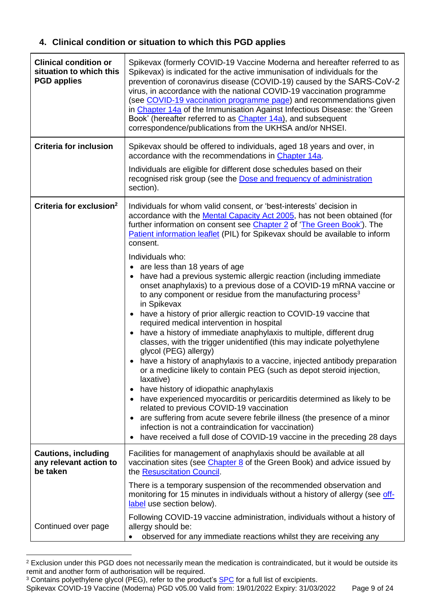# **4. Clinical condition or situation to which this PGD applies**

| <b>Clinical condition or</b><br>situation to which this<br><b>PGD applies</b> | Spikevax (formerly COVID-19 Vaccine Moderna and hereafter referred to as<br>Spikevax) is indicated for the active immunisation of individuals for the<br>prevention of coronavirus disease (COVID-19) caused by the SARS-CoV-2<br>virus, in accordance with the national COVID-19 vaccination programme<br>(see COVID-19 vaccination programme page) and recommendations given<br>in Chapter 14a of the Immunisation Against Infectious Disease: the 'Green<br>Book' (hereafter referred to as <i>Chapter 14a)</i> , and subsequent<br>correspondence/publications from the UKHSA and/or NHSEI.                                                                                                                                                                                                                                                                                                                                                                                                                                                                                                                                                                                                                                                                                                                                                                                                                                                                                                                             |
|-------------------------------------------------------------------------------|-----------------------------------------------------------------------------------------------------------------------------------------------------------------------------------------------------------------------------------------------------------------------------------------------------------------------------------------------------------------------------------------------------------------------------------------------------------------------------------------------------------------------------------------------------------------------------------------------------------------------------------------------------------------------------------------------------------------------------------------------------------------------------------------------------------------------------------------------------------------------------------------------------------------------------------------------------------------------------------------------------------------------------------------------------------------------------------------------------------------------------------------------------------------------------------------------------------------------------------------------------------------------------------------------------------------------------------------------------------------------------------------------------------------------------------------------------------------------------------------------------------------------------|
| <b>Criteria for inclusion</b>                                                 | Spikevax should be offered to individuals, aged 18 years and over, in<br>accordance with the recommendations in Chapter 14a.                                                                                                                                                                                                                                                                                                                                                                                                                                                                                                                                                                                                                                                                                                                                                                                                                                                                                                                                                                                                                                                                                                                                                                                                                                                                                                                                                                                                |
|                                                                               | Individuals are eligible for different dose schedules based on their<br>recognised risk group (see the Dose and frequency of administration<br>section).                                                                                                                                                                                                                                                                                                                                                                                                                                                                                                                                                                                                                                                                                                                                                                                                                                                                                                                                                                                                                                                                                                                                                                                                                                                                                                                                                                    |
| Criteria for exclusion <sup>2</sup>                                           | Individuals for whom valid consent, or 'best-interests' decision in<br>accordance with the Mental Capacity Act 2005, has not been obtained (for<br>further information on consent see Chapter 2 of 'The Green Book'). The<br>Patient information leaflet (PIL) for Spikevax should be available to inform<br>consent.<br>Individuals who:<br>• are less than 18 years of age<br>have had a previous systemic allergic reaction (including immediate<br>onset anaphylaxis) to a previous dose of a COVID-19 mRNA vaccine or<br>to any component or residue from the manufacturing process <sup>3</sup><br>in Spikevax<br>• have a history of prior allergic reaction to COVID-19 vaccine that<br>required medical intervention in hospital<br>have a history of immediate anaphylaxis to multiple, different drug<br>$\bullet$<br>classes, with the trigger unidentified (this may indicate polyethylene<br>glycol (PEG) allergy)<br>• have a history of anaphylaxis to a vaccine, injected antibody preparation<br>or a medicine likely to contain PEG (such as depot steroid injection,<br>laxative)<br>have history of idiopathic anaphylaxis<br>$\bullet$<br>have experienced myocarditis or pericarditis determined as likely to be<br>$\bullet$<br>related to previous COVID-19 vaccination<br>are suffering from acute severe febrile illness (the presence of a minor<br>$\bullet$<br>infection is not a contraindication for vaccination)<br>have received a full dose of COVID-19 vaccine in the preceding 28 days |
| <b>Cautions, including</b><br>any relevant action to<br>be taken              | Facilities for management of anaphylaxis should be available at all<br>vaccination sites (see <i>Chapter 8</i> of the Green Book) and advice issued by<br>the Resuscitation Council.                                                                                                                                                                                                                                                                                                                                                                                                                                                                                                                                                                                                                                                                                                                                                                                                                                                                                                                                                                                                                                                                                                                                                                                                                                                                                                                                        |
|                                                                               | There is a temporary suspension of the recommended observation and<br>monitoring for 15 minutes in individuals without a history of allergy (see off-<br>label use section below).                                                                                                                                                                                                                                                                                                                                                                                                                                                                                                                                                                                                                                                                                                                                                                                                                                                                                                                                                                                                                                                                                                                                                                                                                                                                                                                                          |
| Continued over page                                                           | Following COVID-19 vaccine administration, individuals without a history of<br>allergy should be:<br>observed for any immediate reactions whilst they are receiving any                                                                                                                                                                                                                                                                                                                                                                                                                                                                                                                                                                                                                                                                                                                                                                                                                                                                                                                                                                                                                                                                                                                                                                                                                                                                                                                                                     |

<sup>1</sup> <sup>2</sup> Exclusion under this PGD does not necessarily mean the medication is contraindicated, but it would be outside its remit and another form of authorisation will be required.

Spikevax COVID-19 Vaccine (Moderna) PGD v05.00 Valid from: 19/01/2022 Expiry: 31/03/2022 Page 9 of 24

<sup>&</sup>lt;sup>3</sup> Contains polyethylene glycol (PEG), refer to the product's **[SPC](https://www.gov.uk/government/publications/regulatory-approval-of-covid-19-vaccine-moderna)** for a full list of excipients.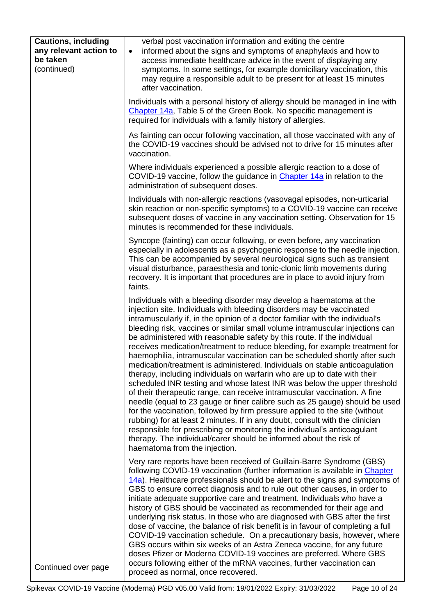| <b>Cautions, including</b><br>any relevant action to<br>be taken<br>(continued) | verbal post vaccination information and exiting the centre<br>informed about the signs and symptoms of anaphylaxis and how to<br>$\bullet$<br>access immediate healthcare advice in the event of displaying any<br>symptoms. In some settings, for example domiciliary vaccination, this<br>may require a responsible adult to be present for at least 15 minutes<br>after vaccination.                                                                                                                                                                                                                                                                                                                                                                                                                                                                                                                                                                                                                                                                                                                                                                                                                                                                                                                    |
|---------------------------------------------------------------------------------|------------------------------------------------------------------------------------------------------------------------------------------------------------------------------------------------------------------------------------------------------------------------------------------------------------------------------------------------------------------------------------------------------------------------------------------------------------------------------------------------------------------------------------------------------------------------------------------------------------------------------------------------------------------------------------------------------------------------------------------------------------------------------------------------------------------------------------------------------------------------------------------------------------------------------------------------------------------------------------------------------------------------------------------------------------------------------------------------------------------------------------------------------------------------------------------------------------------------------------------------------------------------------------------------------------|
|                                                                                 | Individuals with a personal history of allergy should be managed in line with<br>Chapter 14a, Table 5 of the Green Book. No specific management is<br>required for individuals with a family history of allergies.                                                                                                                                                                                                                                                                                                                                                                                                                                                                                                                                                                                                                                                                                                                                                                                                                                                                                                                                                                                                                                                                                         |
|                                                                                 | As fainting can occur following vaccination, all those vaccinated with any of<br>the COVID-19 vaccines should be advised not to drive for 15 minutes after<br>vaccination.                                                                                                                                                                                                                                                                                                                                                                                                                                                                                                                                                                                                                                                                                                                                                                                                                                                                                                                                                                                                                                                                                                                                 |
|                                                                                 | Where individuals experienced a possible allergic reaction to a dose of<br>COVID-19 vaccine, follow the guidance in Chapter 14a in relation to the<br>administration of subsequent doses.                                                                                                                                                                                                                                                                                                                                                                                                                                                                                                                                                                                                                                                                                                                                                                                                                                                                                                                                                                                                                                                                                                                  |
|                                                                                 | Individuals with non-allergic reactions (vasovagal episodes, non-urticarial<br>skin reaction or non-specific symptoms) to a COVID-19 vaccine can receive<br>subsequent doses of vaccine in any vaccination setting. Observation for 15<br>minutes is recommended for these individuals.                                                                                                                                                                                                                                                                                                                                                                                                                                                                                                                                                                                                                                                                                                                                                                                                                                                                                                                                                                                                                    |
|                                                                                 | Syncope (fainting) can occur following, or even before, any vaccination<br>especially in adolescents as a psychogenic response to the needle injection.<br>This can be accompanied by several neurological signs such as transient<br>visual disturbance, paraesthesia and tonic-clonic limb movements during<br>recovery. It is important that procedures are in place to avoid injury from<br>faints.                                                                                                                                                                                                                                                                                                                                                                                                                                                                                                                                                                                                                                                                                                                                                                                                                                                                                                    |
|                                                                                 | Individuals with a bleeding disorder may develop a haematoma at the<br>injection site. Individuals with bleeding disorders may be vaccinated<br>intramuscularly if, in the opinion of a doctor familiar with the individual's<br>bleeding risk, vaccines or similar small volume intramuscular injections can<br>be administered with reasonable safety by this route. If the individual<br>receives medication/treatment to reduce bleeding, for example treatment for<br>haemophilia, intramuscular vaccination can be scheduled shortly after such<br>medication/treatment is administered. Individuals on stable anticoagulation<br>therapy, including individuals on warfarin who are up to date with their<br>scheduled INR testing and whose latest INR was below the upper threshold<br>of their therapeutic range, can receive intramuscular vaccination. A fine<br>needle (equal to 23 gauge or finer calibre such as 25 gauge) should be used<br>for the vaccination, followed by firm pressure applied to the site (without<br>rubbing) for at least 2 minutes. If in any doubt, consult with the clinician<br>responsible for prescribing or monitoring the individual's anticoagulant<br>therapy. The individual/carer should be informed about the risk of<br>haematoma from the injection. |
| Continued over page                                                             | Very rare reports have been received of Guillain-Barre Syndrome (GBS)<br>following COVID-19 vaccination (further information is available in Chapter<br>14a). Healthcare professionals should be alert to the signs and symptoms of<br>GBS to ensure correct diagnosis and to rule out other causes, in order to<br>initiate adequate supportive care and treatment. Individuals who have a<br>history of GBS should be vaccinated as recommended for their age and<br>underlying risk status. In those who are diagnosed with GBS after the first<br>dose of vaccine, the balance of risk benefit is in favour of completing a full<br>COVID-19 vaccination schedule. On a precautionary basis, however, where<br>GBS occurs within six weeks of an Astra Zeneca vaccine, for any future<br>doses Pfizer or Moderna COVID-19 vaccines are preferred. Where GBS<br>occurs following either of the mRNA vaccines, further vaccination can<br>proceed as normal, once recovered.                                                                                                                                                                                                                                                                                                                             |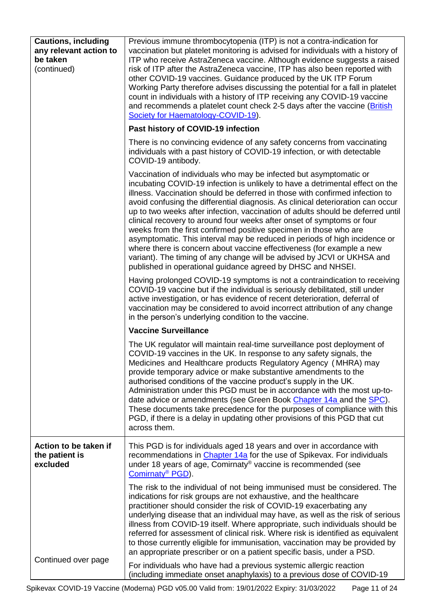| <b>Cautions, including</b><br>any relevant action to<br>be taken<br>(continued) | Previous immune thrombocytopenia (ITP) is not a contra-indication for<br>vaccination but platelet monitoring is advised for individuals with a history of<br>ITP who receive AstraZeneca vaccine. Although evidence suggests a raised<br>risk of ITP after the AstraZeneca vaccine, ITP has also been reported with<br>other COVID-19 vaccines. Guidance produced by the UK ITP Forum<br>Working Party therefore advises discussing the potential for a fall in platelet<br>count in individuals with a history of ITP receiving any COVID-19 vaccine<br>and recommends a platelet count check 2-5 days after the vaccine (British<br>Society for Haematology-COVID-19).<br>Past history of COVID-19 infection                                                                                                                                            |
|---------------------------------------------------------------------------------|-----------------------------------------------------------------------------------------------------------------------------------------------------------------------------------------------------------------------------------------------------------------------------------------------------------------------------------------------------------------------------------------------------------------------------------------------------------------------------------------------------------------------------------------------------------------------------------------------------------------------------------------------------------------------------------------------------------------------------------------------------------------------------------------------------------------------------------------------------------|
|                                                                                 |                                                                                                                                                                                                                                                                                                                                                                                                                                                                                                                                                                                                                                                                                                                                                                                                                                                           |
|                                                                                 | There is no convincing evidence of any safety concerns from vaccinating<br>individuals with a past history of COVID-19 infection, or with detectable<br>COVID-19 antibody.                                                                                                                                                                                                                                                                                                                                                                                                                                                                                                                                                                                                                                                                                |
|                                                                                 | Vaccination of individuals who may be infected but asymptomatic or<br>incubating COVID-19 infection is unlikely to have a detrimental effect on the<br>illness. Vaccination should be deferred in those with confirmed infection to<br>avoid confusing the differential diagnosis. As clinical deterioration can occur<br>up to two weeks after infection, vaccination of adults should be deferred until<br>clinical recovery to around four weeks after onset of symptoms or four<br>weeks from the first confirmed positive specimen in those who are<br>asymptomatic. This interval may be reduced in periods of high incidence or<br>where there is concern about vaccine effectiveness (for example a new<br>variant). The timing of any change will be advised by JCVI or UKHSA and<br>published in operational guidance agreed by DHSC and NHSEI. |
|                                                                                 | Having prolonged COVID-19 symptoms is not a contraindication to receiving<br>COVID-19 vaccine but if the individual is seriously debilitated, still under<br>active investigation, or has evidence of recent deterioration, deferral of<br>vaccination may be considered to avoid incorrect attribution of any change<br>in the person's underlying condition to the vaccine.                                                                                                                                                                                                                                                                                                                                                                                                                                                                             |
|                                                                                 | <b>Vaccine Surveillance</b>                                                                                                                                                                                                                                                                                                                                                                                                                                                                                                                                                                                                                                                                                                                                                                                                                               |
|                                                                                 | The UK regulator will maintain real-time surveillance post deployment of<br>COVID-19 vaccines in the UK. In response to any safety signals, the<br>Medicines and Healthcare products Regulatory Agency (MHRA) may<br>provide temporary advice or make substantive amendments to the<br>authorised conditions of the vaccine product's supply in the UK.<br>Administration under this PGD must be in accordance with the most up-to-<br>date advice or amendments (see Green Book Chapter 14a and the SPC).<br>These documents take precedence for the purposes of compliance with this<br>PGD, if there is a delay in updating other provisions of this PGD that cut<br>across them.                                                                                                                                                                      |
| Action to be taken if<br>the patient is<br>excluded                             | This PGD is for individuals aged 18 years and over in accordance with<br>recommendations in <i>Chapter 14a</i> for the use of Spikevax. For individuals<br>under 18 years of age, Comirnaty® vaccine is recommended (see<br>Comirnaty <sup>®</sup> PGD).                                                                                                                                                                                                                                                                                                                                                                                                                                                                                                                                                                                                  |
| Continued over page                                                             | The risk to the individual of not being immunised must be considered. The<br>indications for risk groups are not exhaustive, and the healthcare<br>practitioner should consider the risk of COVID-19 exacerbating any<br>underlying disease that an individual may have, as well as the risk of serious<br>illness from COVID-19 itself. Where appropriate, such individuals should be<br>referred for assessment of clinical risk. Where risk is identified as equivalent<br>to those currently eligible for immunisation, vaccination may be provided by<br>an appropriate prescriber or on a patient specific basis, under a PSD.                                                                                                                                                                                                                      |
|                                                                                 | For individuals who have had a previous systemic allergic reaction<br>(including immediate onset anaphylaxis) to a previous dose of COVID-19                                                                                                                                                                                                                                                                                                                                                                                                                                                                                                                                                                                                                                                                                                              |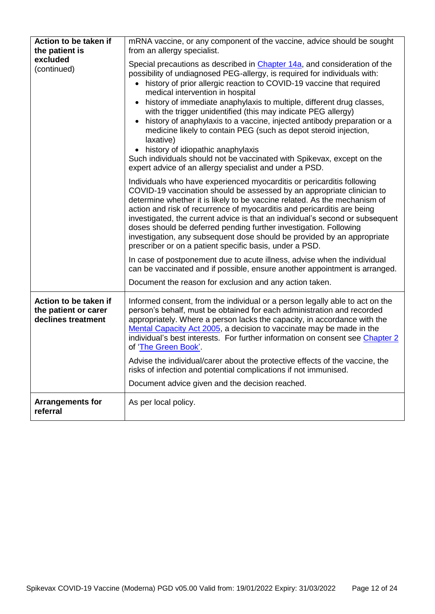| Action to be taken if<br>the patient is                             | mRNA vaccine, or any component of the vaccine, advice should be sought<br>from an allergy specialist.                                                                                                                                                                                                                                                                                                                                                                                                                                                                                                                                                                                                                                                        |
|---------------------------------------------------------------------|--------------------------------------------------------------------------------------------------------------------------------------------------------------------------------------------------------------------------------------------------------------------------------------------------------------------------------------------------------------------------------------------------------------------------------------------------------------------------------------------------------------------------------------------------------------------------------------------------------------------------------------------------------------------------------------------------------------------------------------------------------------|
| excluded<br>(continued)                                             | Special precautions as described in <i>Chapter 14a</i> , and consideration of the<br>possibility of undiagnosed PEG-allergy, is required for individuals with:<br>history of prior allergic reaction to COVID-19 vaccine that required<br>medical intervention in hospital<br>history of immediate anaphylaxis to multiple, different drug classes,<br>with the trigger unidentified (this may indicate PEG allergy)<br>history of anaphylaxis to a vaccine, injected antibody preparation or a<br>medicine likely to contain PEG (such as depot steroid injection,<br>laxative)<br>• history of idiopathic anaphylaxis<br>Such individuals should not be vaccinated with Spikevax, except on the<br>expert advice of an allergy specialist and under a PSD. |
|                                                                     | Individuals who have experienced myocarditis or pericarditis following<br>COVID-19 vaccination should be assessed by an appropriate clinician to<br>determine whether it is likely to be vaccine related. As the mechanism of<br>action and risk of recurrence of myocarditis and pericarditis are being<br>investigated, the current advice is that an individual's second or subsequent<br>doses should be deferred pending further investigation. Following<br>investigation, any subsequent dose should be provided by an appropriate<br>prescriber or on a patient specific basis, under a PSD.                                                                                                                                                         |
|                                                                     | In case of postponement due to acute illness, advise when the individual<br>can be vaccinated and if possible, ensure another appointment is arranged.<br>Document the reason for exclusion and any action taken.                                                                                                                                                                                                                                                                                                                                                                                                                                                                                                                                            |
| Action to be taken if<br>the patient or carer<br>declines treatment | Informed consent, from the individual or a person legally able to act on the<br>person's behalf, must be obtained for each administration and recorded<br>appropriately. Where a person lacks the capacity, in accordance with the<br>Mental Capacity Act 2005, a decision to vaccinate may be made in the<br>individual's best interests. For further information on consent see Chapter 2<br>of 'The Green Book'.<br>Advise the individual/carer about the protective effects of the vaccine, the<br>risks of infection and potential complications if not immunised.<br>Document advice given and the decision reached.                                                                                                                                   |
| <b>Arrangements for</b><br>referral                                 | As per local policy.                                                                                                                                                                                                                                                                                                                                                                                                                                                                                                                                                                                                                                                                                                                                         |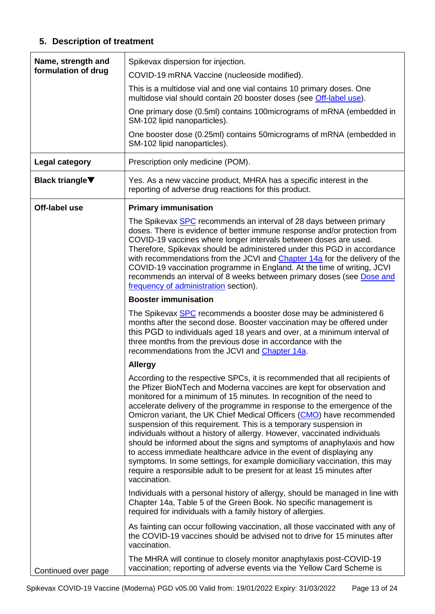## **5. Description of treatment**

<span id="page-12-1"></span><span id="page-12-0"></span>

| Name, strength and<br>formulation of drug | Spikevax dispersion for injection.                                                                                                                                                                                                                                                                                                                                                                                                                                                                                                                                                                                                                                                                                                                                                                                                                           |
|-------------------------------------------|--------------------------------------------------------------------------------------------------------------------------------------------------------------------------------------------------------------------------------------------------------------------------------------------------------------------------------------------------------------------------------------------------------------------------------------------------------------------------------------------------------------------------------------------------------------------------------------------------------------------------------------------------------------------------------------------------------------------------------------------------------------------------------------------------------------------------------------------------------------|
|                                           | COVID-19 mRNA Vaccine (nucleoside modified).                                                                                                                                                                                                                                                                                                                                                                                                                                                                                                                                                                                                                                                                                                                                                                                                                 |
|                                           | This is a multidose vial and one vial contains 10 primary doses. One<br>multidose vial should contain 20 booster doses (see Off-label use).                                                                                                                                                                                                                                                                                                                                                                                                                                                                                                                                                                                                                                                                                                                  |
|                                           | One primary dose (0.5ml) contains 100micrograms of mRNA (embedded in<br>SM-102 lipid nanoparticles).                                                                                                                                                                                                                                                                                                                                                                                                                                                                                                                                                                                                                                                                                                                                                         |
|                                           | One booster dose (0.25ml) contains 50 micrograms of mRNA (embedded in<br>SM-102 lipid nanoparticles).                                                                                                                                                                                                                                                                                                                                                                                                                                                                                                                                                                                                                                                                                                                                                        |
| <b>Legal category</b>                     | Prescription only medicine (POM).                                                                                                                                                                                                                                                                                                                                                                                                                                                                                                                                                                                                                                                                                                                                                                                                                            |
| <b>Black triangle</b> ▼                   | Yes. As a new vaccine product, MHRA has a specific interest in the<br>reporting of adverse drug reactions for this product.                                                                                                                                                                                                                                                                                                                                                                                                                                                                                                                                                                                                                                                                                                                                  |
| Off-label use                             | <b>Primary immunisation</b>                                                                                                                                                                                                                                                                                                                                                                                                                                                                                                                                                                                                                                                                                                                                                                                                                                  |
|                                           | The Spikevax <b>SPC</b> recommends an interval of 28 days between primary<br>doses. There is evidence of better immune response and/or protection from<br>COVID-19 vaccines where longer intervals between doses are used.<br>Therefore, Spikevax should be administered under this PGD in accordance<br>with recommendations from the JCVI and Chapter 14a for the delivery of the<br>COVID-19 vaccination programme in England. At the time of writing, JCVI<br>recommends an interval of 8 weeks between primary doses (see Dose and<br>frequency of administration section).                                                                                                                                                                                                                                                                             |
|                                           | <b>Booster immunisation</b>                                                                                                                                                                                                                                                                                                                                                                                                                                                                                                                                                                                                                                                                                                                                                                                                                                  |
|                                           | The Spikevax SPC recommends a booster dose may be administered 6<br>months after the second dose. Booster vaccination may be offered under<br>this PGD to individuals aged 18 years and over, at a minimum interval of<br>three months from the previous dose in accordance with the<br>recommendations from the JCVI and Chapter 14a.                                                                                                                                                                                                                                                                                                                                                                                                                                                                                                                       |
|                                           | <b>Allergy</b>                                                                                                                                                                                                                                                                                                                                                                                                                                                                                                                                                                                                                                                                                                                                                                                                                                               |
|                                           | According to the respective SPCs, it is recommended that all recipients of<br>the Pfizer BioNTech and Moderna vaccines are kept for observation and<br>monitored for a minimum of 15 minutes. In recognition of the need to<br>accelerate delivery of the programme in response to the emergence of the<br>Omicron variant, the UK Chief Medical Officers (CMO) have recommended<br>suspension of this requirement. This is a temporary suspension in<br>individuals without a history of allergy. However, vaccinated individuals<br>should be informed about the signs and symptoms of anaphylaxis and how<br>to access immediate healthcare advice in the event of displaying any<br>symptoms. In some settings, for example domiciliary vaccination, this may<br>require a responsible adult to be present for at least 15 minutes after<br>vaccination. |
|                                           | Individuals with a personal history of allergy, should be managed in line with<br>Chapter 14a, Table 5 of the Green Book. No specific management is<br>required for individuals with a family history of allergies.                                                                                                                                                                                                                                                                                                                                                                                                                                                                                                                                                                                                                                          |
|                                           | As fainting can occur following vaccination, all those vaccinated with any of<br>the COVID-19 vaccines should be advised not to drive for 15 minutes after<br>vaccination.                                                                                                                                                                                                                                                                                                                                                                                                                                                                                                                                                                                                                                                                                   |
| Continued over page                       | The MHRA will continue to closely monitor anaphylaxis post-COVID-19<br>vaccination; reporting of adverse events via the Yellow Card Scheme is                                                                                                                                                                                                                                                                                                                                                                                                                                                                                                                                                                                                                                                                                                                |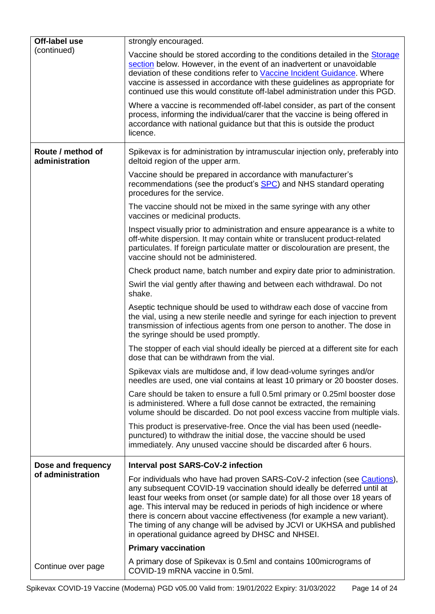<span id="page-13-0"></span>

| Off-label use                       | strongly encouraged.                                                                                                                                                                                                                                                                                                                                                                                                                                                                                                       |
|-------------------------------------|----------------------------------------------------------------------------------------------------------------------------------------------------------------------------------------------------------------------------------------------------------------------------------------------------------------------------------------------------------------------------------------------------------------------------------------------------------------------------------------------------------------------------|
| (continued)                         | Vaccine should be stored according to the conditions detailed in the Storage<br>section below. However, in the event of an inadvertent or unavoidable<br>deviation of these conditions refer to Vaccine Incident Guidance. Where<br>vaccine is assessed in accordance with these guidelines as appropriate for<br>continued use this would constitute off-label administration under this PGD.                                                                                                                             |
|                                     | Where a vaccine is recommended off-label consider, as part of the consent<br>process, informing the individual/carer that the vaccine is being offered in<br>accordance with national guidance but that this is outside the product<br>licence.                                                                                                                                                                                                                                                                            |
| Route / method of<br>administration | Spikevax is for administration by intramuscular injection only, preferably into<br>deltoid region of the upper arm.                                                                                                                                                                                                                                                                                                                                                                                                        |
|                                     | Vaccine should be prepared in accordance with manufacturer's<br>recommendations (see the product's <b>SPC</b> ) and NHS standard operating<br>procedures for the service.                                                                                                                                                                                                                                                                                                                                                  |
|                                     | The vaccine should not be mixed in the same syringe with any other<br>vaccines or medicinal products.                                                                                                                                                                                                                                                                                                                                                                                                                      |
|                                     | Inspect visually prior to administration and ensure appearance is a white to<br>off-white dispersion. It may contain white or translucent product-related<br>particulates. If foreign particulate matter or discolouration are present, the<br>vaccine should not be administered.                                                                                                                                                                                                                                         |
|                                     | Check product name, batch number and expiry date prior to administration.                                                                                                                                                                                                                                                                                                                                                                                                                                                  |
|                                     | Swirl the vial gently after thawing and between each withdrawal. Do not<br>shake.                                                                                                                                                                                                                                                                                                                                                                                                                                          |
|                                     | Aseptic technique should be used to withdraw each dose of vaccine from<br>the vial, using a new sterile needle and syringe for each injection to prevent<br>transmission of infectious agents from one person to another. The dose in<br>the syringe should be used promptly.                                                                                                                                                                                                                                              |
|                                     | The stopper of each vial should ideally be pierced at a different site for each<br>dose that can be withdrawn from the vial.                                                                                                                                                                                                                                                                                                                                                                                               |
|                                     | Spikevax vials are multidose and, if low dead-volume syringes and/or<br>needles are used, one vial contains at least 10 primary or 20 booster doses.                                                                                                                                                                                                                                                                                                                                                                       |
|                                     | Care should be taken to ensure a full 0.5ml primary or 0.25ml booster dose<br>is administered. Where a full dose cannot be extracted, the remaining<br>volume should be discarded. Do not pool excess vaccine from multiple vials.                                                                                                                                                                                                                                                                                         |
|                                     | This product is preservative-free. Once the vial has been used (needle-<br>punctured) to withdraw the initial dose, the vaccine should be used<br>immediately. Any unused vaccine should be discarded after 6 hours.                                                                                                                                                                                                                                                                                                       |
| Dose and frequency                  | <b>Interval post SARS-CoV-2 infection</b>                                                                                                                                                                                                                                                                                                                                                                                                                                                                                  |
| of administration                   | For individuals who have had proven SARS-CoV-2 infection (see Cautions),<br>any subsequent COVID-19 vaccination should ideally be deferred until at<br>least four weeks from onset (or sample date) for all those over 18 years of<br>age. This interval may be reduced in periods of high incidence or where<br>there is concern about vaccine effectiveness (for example a new variant).<br>The timing of any change will be advised by JCVI or UKHSA and published<br>in operational guidance agreed by DHSC and NHSEI. |
|                                     | <b>Primary vaccination</b>                                                                                                                                                                                                                                                                                                                                                                                                                                                                                                 |
| Continue over page                  | A primary dose of Spikevax is 0.5ml and contains 100micrograms of<br>COVID-19 mRNA vaccine in 0.5ml.                                                                                                                                                                                                                                                                                                                                                                                                                       |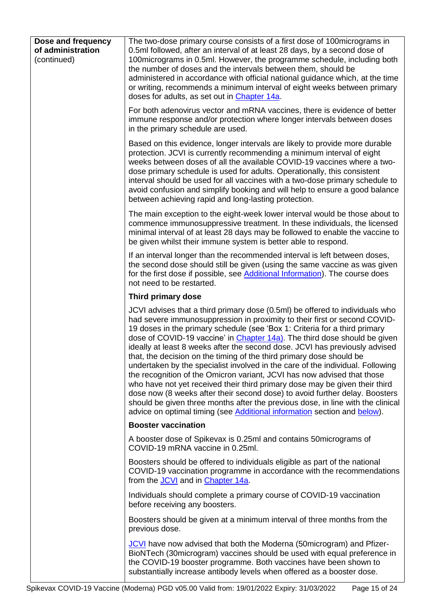<span id="page-14-0"></span>

| Dose and frequency<br>of administration<br>(continued) | The two-dose primary course consists of a first dose of 100 micrograms in<br>0.5ml followed, after an interval of at least 28 days, by a second dose of<br>100 micrograms in 0.5 ml. However, the programme schedule, including both<br>the number of doses and the intervals between them, should be<br>administered in accordance with official national guidance which, at the time<br>or writing, recommends a minimum interval of eight weeks between primary<br>doses for adults, as set out in Chapter 14a.                                                                                                                                                                                                                                                                                                                                                                                                                                                            |
|--------------------------------------------------------|-------------------------------------------------------------------------------------------------------------------------------------------------------------------------------------------------------------------------------------------------------------------------------------------------------------------------------------------------------------------------------------------------------------------------------------------------------------------------------------------------------------------------------------------------------------------------------------------------------------------------------------------------------------------------------------------------------------------------------------------------------------------------------------------------------------------------------------------------------------------------------------------------------------------------------------------------------------------------------|
|                                                        | For both adenovirus vector and mRNA vaccines, there is evidence of better<br>immune response and/or protection where longer intervals between doses<br>in the primary schedule are used.                                                                                                                                                                                                                                                                                                                                                                                                                                                                                                                                                                                                                                                                                                                                                                                      |
|                                                        | Based on this evidence, longer intervals are likely to provide more durable<br>protection. JCVI is currently recommending a minimum interval of eight<br>weeks between doses of all the available COVID-19 vaccines where a two-<br>dose primary schedule is used for adults. Operationally, this consistent<br>interval should be used for all vaccines with a two-dose primary schedule to<br>avoid confusion and simplify booking and will help to ensure a good balance<br>between achieving rapid and long-lasting protection.                                                                                                                                                                                                                                                                                                                                                                                                                                           |
|                                                        | The main exception to the eight-week lower interval would be those about to<br>commence immunosuppressive treatment. In these individuals, the licensed<br>minimal interval of at least 28 days may be followed to enable the vaccine to<br>be given whilst their immune system is better able to respond.                                                                                                                                                                                                                                                                                                                                                                                                                                                                                                                                                                                                                                                                    |
|                                                        | If an interval longer than the recommended interval is left between doses,<br>the second dose should still be given (using the same vaccine as was given<br>for the first dose if possible, see Additional Information). The course does<br>not need to be restarted.                                                                                                                                                                                                                                                                                                                                                                                                                                                                                                                                                                                                                                                                                                         |
|                                                        | Third primary dose                                                                                                                                                                                                                                                                                                                                                                                                                                                                                                                                                                                                                                                                                                                                                                                                                                                                                                                                                            |
|                                                        | JCVI advises that a third primary dose (0.5ml) be offered to individuals who<br>had severe immunosuppression in proximity to their first or second COVID-<br>19 doses in the primary schedule (see 'Box 1: Criteria for a third primary<br>dose of COVID-19 vaccine' in <i>Chapter 14a</i> ). The third dose should be given<br>ideally at least 8 weeks after the second dose. JCVI has previously advised<br>that, the decision on the timing of the third primary dose should be<br>undertaken by the specialist involved in the care of the individual. Following<br>the recognition of the Omicron variant, JCVI has now advised that those<br>who have not yet received their third primary dose may be given their third<br>dose now (8 weeks after their second dose) to avoid further delay. Boosters<br>should be given three months after the previous dose, in line with the clinical<br>advice on optimal timing (see Additional information section and below). |
|                                                        | <b>Booster vaccination</b>                                                                                                                                                                                                                                                                                                                                                                                                                                                                                                                                                                                                                                                                                                                                                                                                                                                                                                                                                    |
|                                                        | A booster dose of Spikevax is 0.25ml and contains 50micrograms of<br>COVID-19 mRNA vaccine in 0.25ml.                                                                                                                                                                                                                                                                                                                                                                                                                                                                                                                                                                                                                                                                                                                                                                                                                                                                         |
|                                                        | Boosters should be offered to individuals eligible as part of the national<br>COVID-19 vaccination programme in accordance with the recommendations<br>from the JCVI and in Chapter 14a.                                                                                                                                                                                                                                                                                                                                                                                                                                                                                                                                                                                                                                                                                                                                                                                      |
|                                                        | Individuals should complete a primary course of COVID-19 vaccination<br>before receiving any boosters.                                                                                                                                                                                                                                                                                                                                                                                                                                                                                                                                                                                                                                                                                                                                                                                                                                                                        |
|                                                        | Boosters should be given at a minimum interval of three months from the<br>previous dose.                                                                                                                                                                                                                                                                                                                                                                                                                                                                                                                                                                                                                                                                                                                                                                                                                                                                                     |
|                                                        | JCVI have now advised that both the Moderna (50 microgram) and Pfizer-<br>BioNTech (30 microgram) vaccines should be used with equal preference in<br>the COVID-19 booster programme. Both vaccines have been shown to<br>substantially increase antibody levels when offered as a booster dose.                                                                                                                                                                                                                                                                                                                                                                                                                                                                                                                                                                                                                                                                              |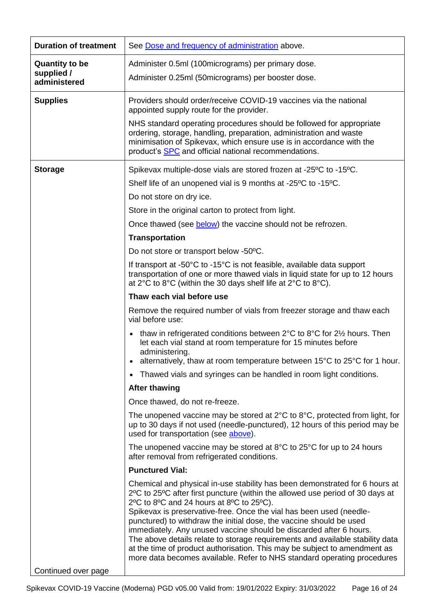<span id="page-15-2"></span><span id="page-15-1"></span><span id="page-15-0"></span>

| <b>Duration of treatment</b> | See Dose and frequency of administration above.                                                                                                                                                                                                                                                                                                                                                                                                                                                                                                                                                                                                                       |
|------------------------------|-----------------------------------------------------------------------------------------------------------------------------------------------------------------------------------------------------------------------------------------------------------------------------------------------------------------------------------------------------------------------------------------------------------------------------------------------------------------------------------------------------------------------------------------------------------------------------------------------------------------------------------------------------------------------|
| <b>Quantity to be</b>        | Administer 0.5ml (100micrograms) per primary dose.                                                                                                                                                                                                                                                                                                                                                                                                                                                                                                                                                                                                                    |
| supplied /<br>administered   | Administer 0.25ml (50micrograms) per booster dose.                                                                                                                                                                                                                                                                                                                                                                                                                                                                                                                                                                                                                    |
|                              |                                                                                                                                                                                                                                                                                                                                                                                                                                                                                                                                                                                                                                                                       |
| <b>Supplies</b>              | Providers should order/receive COVID-19 vaccines via the national<br>appointed supply route for the provider.                                                                                                                                                                                                                                                                                                                                                                                                                                                                                                                                                         |
|                              | NHS standard operating procedures should be followed for appropriate<br>ordering, storage, handling, preparation, administration and waste<br>minimisation of Spikevax, which ensure use is in accordance with the<br>product's <b>SPC</b> and official national recommendations.                                                                                                                                                                                                                                                                                                                                                                                     |
| <b>Storage</b>               | Spikevax multiple-dose vials are stored frozen at -25°C to -15°C.                                                                                                                                                                                                                                                                                                                                                                                                                                                                                                                                                                                                     |
|                              | Shelf life of an unopened vial is 9 months at -25°C to -15°C.                                                                                                                                                                                                                                                                                                                                                                                                                                                                                                                                                                                                         |
|                              | Do not store on dry ice.                                                                                                                                                                                                                                                                                                                                                                                                                                                                                                                                                                                                                                              |
|                              | Store in the original carton to protect from light.                                                                                                                                                                                                                                                                                                                                                                                                                                                                                                                                                                                                                   |
|                              | Once thawed (see below) the vaccine should not be refrozen.                                                                                                                                                                                                                                                                                                                                                                                                                                                                                                                                                                                                           |
|                              | <b>Transportation</b>                                                                                                                                                                                                                                                                                                                                                                                                                                                                                                                                                                                                                                                 |
|                              | Do not store or transport below -50°C.                                                                                                                                                                                                                                                                                                                                                                                                                                                                                                                                                                                                                                |
|                              | If transport at -50 $\degree$ C to -15 $\degree$ C is not feasible, available data support<br>transportation of one or more thawed vials in liquid state for up to 12 hours<br>at $2^{\circ}$ C to $8^{\circ}$ C (within the 30 days shelf life at $2^{\circ}$ C to $8^{\circ}$ C).                                                                                                                                                                                                                                                                                                                                                                                   |
|                              | Thaw each vial before use                                                                                                                                                                                                                                                                                                                                                                                                                                                                                                                                                                                                                                             |
|                              | Remove the required number of vials from freezer storage and thaw each<br>vial before use:                                                                                                                                                                                                                                                                                                                                                                                                                                                                                                                                                                            |
|                              | • thaw in refrigerated conditions between $2^{\circ}$ C to $8^{\circ}$ C for $2\frac{1}{2}$ hours. Then<br>let each vial stand at room temperature for 15 minutes before<br>administering.<br>alternatively, thaw at room temperature between 15°C to 25°C for 1 hour.                                                                                                                                                                                                                                                                                                                                                                                                |
|                              | • Thawed vials and syringes can be handled in room light conditions.                                                                                                                                                                                                                                                                                                                                                                                                                                                                                                                                                                                                  |
|                              | <b>After thawing</b>                                                                                                                                                                                                                                                                                                                                                                                                                                                                                                                                                                                                                                                  |
|                              | Once thawed, do not re-freeze.                                                                                                                                                                                                                                                                                                                                                                                                                                                                                                                                                                                                                                        |
|                              | The unopened vaccine may be stored at $2^{\circ}C$ to $8^{\circ}C$ , protected from light, for<br>up to 30 days if not used (needle-punctured), 12 hours of this period may be<br>used for transportation (see above).                                                                                                                                                                                                                                                                                                                                                                                                                                                |
|                              | The unopened vaccine may be stored at $8^{\circ}$ C to $25^{\circ}$ C for up to 24 hours<br>after removal from refrigerated conditions.                                                                                                                                                                                                                                                                                                                                                                                                                                                                                                                               |
|                              | <b>Punctured Vial:</b>                                                                                                                                                                                                                                                                                                                                                                                                                                                                                                                                                                                                                                                |
|                              | Chemical and physical in-use stability has been demonstrated for 6 hours at<br>2°C to 25°C after first puncture (within the allowed use period of 30 days at<br>2°C to 8°C and 24 hours at 8°C to 25°C).<br>Spikevax is preservative-free. Once the vial has been used (needle-<br>punctured) to withdraw the initial dose, the vaccine should be used<br>immediately. Any unused vaccine should be discarded after 6 hours.<br>The above details relate to storage requirements and available stability data<br>at the time of product authorisation. This may be subject to amendment as<br>more data becomes available. Refer to NHS standard operating procedures |
| Continued over page          |                                                                                                                                                                                                                                                                                                                                                                                                                                                                                                                                                                                                                                                                       |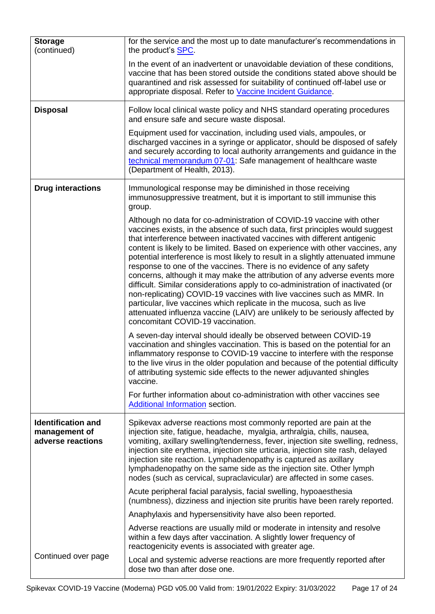| <b>Storage</b>                                                  | for the service and the most up to date manufacturer's recommendations in                                                                                                                                                                                                                                                                                                                                                                                                                                                                                                                                                                                                                                                                                                                                                                                                                                          |
|-----------------------------------------------------------------|--------------------------------------------------------------------------------------------------------------------------------------------------------------------------------------------------------------------------------------------------------------------------------------------------------------------------------------------------------------------------------------------------------------------------------------------------------------------------------------------------------------------------------------------------------------------------------------------------------------------------------------------------------------------------------------------------------------------------------------------------------------------------------------------------------------------------------------------------------------------------------------------------------------------|
| (continued)                                                     | the product's <b>SPC</b> .                                                                                                                                                                                                                                                                                                                                                                                                                                                                                                                                                                                                                                                                                                                                                                                                                                                                                         |
|                                                                 | In the event of an inadvertent or unavoidable deviation of these conditions,<br>vaccine that has been stored outside the conditions stated above should be<br>quarantined and risk assessed for suitability of continued off-label use or<br>appropriate disposal. Refer to Vaccine Incident Guidance.                                                                                                                                                                                                                                                                                                                                                                                                                                                                                                                                                                                                             |
| <b>Disposal</b>                                                 | Follow local clinical waste policy and NHS standard operating procedures<br>and ensure safe and secure waste disposal.                                                                                                                                                                                                                                                                                                                                                                                                                                                                                                                                                                                                                                                                                                                                                                                             |
|                                                                 | Equipment used for vaccination, including used vials, ampoules, or<br>discharged vaccines in a syringe or applicator, should be disposed of safely<br>and securely according to local authority arrangements and guidance in the<br>technical memorandum 07-01: Safe management of healthcare waste<br>(Department of Health, 2013).                                                                                                                                                                                                                                                                                                                                                                                                                                                                                                                                                                               |
| <b>Drug interactions</b>                                        | Immunological response may be diminished in those receiving<br>immunosuppressive treatment, but it is important to still immunise this<br>group.                                                                                                                                                                                                                                                                                                                                                                                                                                                                                                                                                                                                                                                                                                                                                                   |
|                                                                 | Although no data for co-administration of COVID-19 vaccine with other<br>vaccines exists, in the absence of such data, first principles would suggest<br>that interference between inactivated vaccines with different antigenic<br>content is likely to be limited. Based on experience with other vaccines, any<br>potential interference is most likely to result in a slightly attenuated immune<br>response to one of the vaccines. There is no evidence of any safety<br>concerns, although it may make the attribution of any adverse events more<br>difficult. Similar considerations apply to co-administration of inactivated (or<br>non-replicating) COVID-19 vaccines with live vaccines such as MMR. In<br>particular, live vaccines which replicate in the mucosa, such as live<br>attenuated influenza vaccine (LAIV) are unlikely to be seriously affected by<br>concomitant COVID-19 vaccination. |
|                                                                 | A seven-day interval should ideally be observed between COVID-19<br>vaccination and shingles vaccination. This is based on the potential for an<br>inflammatory response to COVID-19 vaccine to interfere with the response<br>to the live virus in the older population and because of the potential difficulty<br>of attributing systemic side effects to the newer adjuvanted shingles<br>vaccine.                                                                                                                                                                                                                                                                                                                                                                                                                                                                                                              |
|                                                                 | For further information about co-administration with other vaccines see<br>Additional Information section.                                                                                                                                                                                                                                                                                                                                                                                                                                                                                                                                                                                                                                                                                                                                                                                                         |
| <b>Identification and</b><br>management of<br>adverse reactions | Spikevax adverse reactions most commonly reported are pain at the<br>injection site, fatigue, headache, myalgia, arthralgia, chills, nausea,<br>vomiting, axillary swelling/tenderness, fever, injection site swelling, redness,<br>injection site erythema, injection site urticaria, injection site rash, delayed<br>injection site reaction. Lymphadenopathy is captured as axillary<br>lymphadenopathy on the same side as the injection site. Other lymph<br>nodes (such as cervical, supraclavicular) are affected in some cases.                                                                                                                                                                                                                                                                                                                                                                            |
|                                                                 | Acute peripheral facial paralysis, facial swelling, hypoaesthesia<br>(numbness), dizziness and injection site pruritis have been rarely reported.                                                                                                                                                                                                                                                                                                                                                                                                                                                                                                                                                                                                                                                                                                                                                                  |
|                                                                 | Anaphylaxis and hypersensitivity have also been reported.                                                                                                                                                                                                                                                                                                                                                                                                                                                                                                                                                                                                                                                                                                                                                                                                                                                          |
|                                                                 | Adverse reactions are usually mild or moderate in intensity and resolve<br>within a few days after vaccination. A slightly lower frequency of<br>reactogenicity events is associated with greater age.                                                                                                                                                                                                                                                                                                                                                                                                                                                                                                                                                                                                                                                                                                             |
| Continued over page                                             | Local and systemic adverse reactions are more frequently reported after<br>dose two than after dose one.                                                                                                                                                                                                                                                                                                                                                                                                                                                                                                                                                                                                                                                                                                                                                                                                           |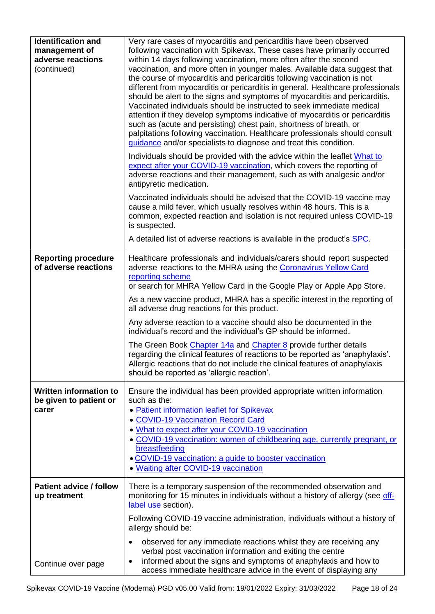| <b>Identification and</b><br>management of<br>adverse reactions<br>(continued) | Very rare cases of myocarditis and pericarditis have been observed<br>following vaccination with Spikevax. These cases have primarily occurred<br>within 14 days following vaccination, more often after the second<br>vaccination, and more often in younger males. Available data suggest that<br>the course of myocarditis and pericarditis following vaccination is not<br>different from myocarditis or pericarditis in general. Healthcare professionals<br>should be alert to the signs and symptoms of myocarditis and pericarditis.<br>Vaccinated individuals should be instructed to seek immediate medical<br>attention if they develop symptoms indicative of myocarditis or pericarditis<br>such as (acute and persisting) chest pain, shortness of breath, or<br>palpitations following vaccination. Healthcare professionals should consult<br>guidance and/or specialists to diagnose and treat this condition.<br>Individuals should be provided with the advice within the leaflet What to<br>expect after your COVID-19 vaccination, which covers the reporting of<br>adverse reactions and their management, such as with analgesic and/or<br>antipyretic medication.<br>Vaccinated individuals should be advised that the COVID-19 vaccine may<br>cause a mild fever, which usually resolves within 48 hours. This is a<br>common, expected reaction and isolation is not required unless COVID-19<br>is suspected. |
|--------------------------------------------------------------------------------|------------------------------------------------------------------------------------------------------------------------------------------------------------------------------------------------------------------------------------------------------------------------------------------------------------------------------------------------------------------------------------------------------------------------------------------------------------------------------------------------------------------------------------------------------------------------------------------------------------------------------------------------------------------------------------------------------------------------------------------------------------------------------------------------------------------------------------------------------------------------------------------------------------------------------------------------------------------------------------------------------------------------------------------------------------------------------------------------------------------------------------------------------------------------------------------------------------------------------------------------------------------------------------------------------------------------------------------------------------------------------------------------------------------------------------------|
|                                                                                | A detailed list of adverse reactions is available in the product's SPC.                                                                                                                                                                                                                                                                                                                                                                                                                                                                                                                                                                                                                                                                                                                                                                                                                                                                                                                                                                                                                                                                                                                                                                                                                                                                                                                                                                  |
| <b>Reporting procedure</b><br>of adverse reactions                             | Healthcare professionals and individuals/carers should report suspected<br>adverse reactions to the MHRA using the Coronavirus Yellow Card<br>reporting scheme<br>or search for MHRA Yellow Card in the Google Play or Apple App Store.<br>As a new vaccine product, MHRA has a specific interest in the reporting of<br>all adverse drug reactions for this product.<br>Any adverse reaction to a vaccine should also be documented in the<br>individual's record and the individual's GP should be informed.<br>The Green Book Chapter 14a and Chapter 8 provide further details<br>regarding the clinical features of reactions to be reported as 'anaphylaxis'.<br>Allergic reactions that do not include the clinical features of anaphylaxis<br>should be reported as 'allergic reaction'.                                                                                                                                                                                                                                                                                                                                                                                                                                                                                                                                                                                                                                         |
| <b>Written information to</b><br>be given to patient or<br>carer               | Ensure the individual has been provided appropriate written information<br>such as the:<br>• Patient information leaflet for Spikevax<br>• COVID-19 Vaccination Record Card<br>. What to expect after your COVID-19 vaccination<br>• COVID-19 vaccination: women of childbearing age, currently pregnant, or<br>breastfeeding<br>· COVID-19 vaccination: a guide to booster vaccination<br>• Waiting after COVID-19 vaccination                                                                                                                                                                                                                                                                                                                                                                                                                                                                                                                                                                                                                                                                                                                                                                                                                                                                                                                                                                                                          |
| <b>Patient advice / follow</b><br>up treatment                                 | There is a temporary suspension of the recommended observation and<br>monitoring for 15 minutes in individuals without a history of allergy (see off-                                                                                                                                                                                                                                                                                                                                                                                                                                                                                                                                                                                                                                                                                                                                                                                                                                                                                                                                                                                                                                                                                                                                                                                                                                                                                    |
|                                                                                | label use section).<br>Following COVID-19 vaccine administration, individuals without a history of<br>allergy should be:                                                                                                                                                                                                                                                                                                                                                                                                                                                                                                                                                                                                                                                                                                                                                                                                                                                                                                                                                                                                                                                                                                                                                                                                                                                                                                                 |
|                                                                                | observed for any immediate reactions whilst they are receiving any                                                                                                                                                                                                                                                                                                                                                                                                                                                                                                                                                                                                                                                                                                                                                                                                                                                                                                                                                                                                                                                                                                                                                                                                                                                                                                                                                                       |
| Continue over page                                                             | verbal post vaccination information and exiting the centre<br>informed about the signs and symptoms of anaphylaxis and how to<br>٠<br>access immediate healthcare advice in the event of displaying any                                                                                                                                                                                                                                                                                                                                                                                                                                                                                                                                                                                                                                                                                                                                                                                                                                                                                                                                                                                                                                                                                                                                                                                                                                  |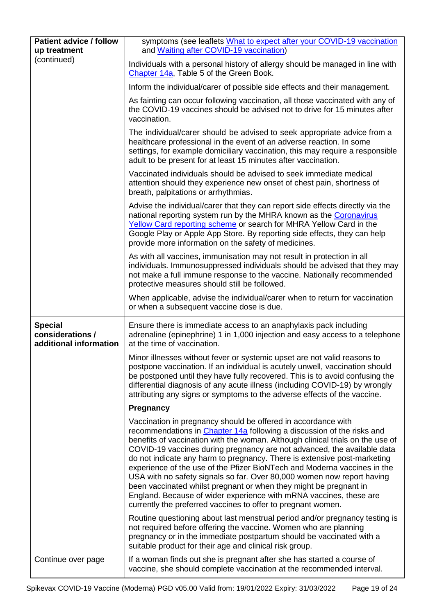| <b>Patient advice / follow</b><br>up treatment               | symptoms (see leaflets What to expect after your COVID-19 vaccination<br>and Waiting after COVID-19 vaccination)                                                                                                                                                                                                                                                                                                                                                                                                                                                                                                                                                                                                                                  |
|--------------------------------------------------------------|---------------------------------------------------------------------------------------------------------------------------------------------------------------------------------------------------------------------------------------------------------------------------------------------------------------------------------------------------------------------------------------------------------------------------------------------------------------------------------------------------------------------------------------------------------------------------------------------------------------------------------------------------------------------------------------------------------------------------------------------------|
| (continued)                                                  | Individuals with a personal history of allergy should be managed in line with<br>Chapter 14a, Table 5 of the Green Book.                                                                                                                                                                                                                                                                                                                                                                                                                                                                                                                                                                                                                          |
|                                                              | Inform the individual/carer of possible side effects and their management.                                                                                                                                                                                                                                                                                                                                                                                                                                                                                                                                                                                                                                                                        |
|                                                              | As fainting can occur following vaccination, all those vaccinated with any of<br>the COVID-19 vaccines should be advised not to drive for 15 minutes after<br>vaccination.                                                                                                                                                                                                                                                                                                                                                                                                                                                                                                                                                                        |
|                                                              | The individual/carer should be advised to seek appropriate advice from a<br>healthcare professional in the event of an adverse reaction. In some<br>settings, for example domiciliary vaccination, this may require a responsible<br>adult to be present for at least 15 minutes after vaccination.                                                                                                                                                                                                                                                                                                                                                                                                                                               |
|                                                              | Vaccinated individuals should be advised to seek immediate medical<br>attention should they experience new onset of chest pain, shortness of<br>breath, palpitations or arrhythmias.                                                                                                                                                                                                                                                                                                                                                                                                                                                                                                                                                              |
|                                                              | Advise the individual/carer that they can report side effects directly via the<br>national reporting system run by the MHRA known as the Coronavirus<br>Yellow Card reporting scheme or search for MHRA Yellow Card in the<br>Google Play or Apple App Store. By reporting side effects, they can help<br>provide more information on the safety of medicines.                                                                                                                                                                                                                                                                                                                                                                                    |
|                                                              | As with all vaccines, immunisation may not result in protection in all<br>individuals. Immunosuppressed individuals should be advised that they may<br>not make a full immune response to the vaccine. Nationally recommended<br>protective measures should still be followed.                                                                                                                                                                                                                                                                                                                                                                                                                                                                    |
|                                                              | When applicable, advise the individual/carer when to return for vaccination<br>or when a subsequent vaccine dose is due.                                                                                                                                                                                                                                                                                                                                                                                                                                                                                                                                                                                                                          |
| <b>Special</b><br>considerations /<br>additional information | Ensure there is immediate access to an anaphylaxis pack including<br>adrenaline (epinephrine) 1 in 1,000 injection and easy access to a telephone<br>at the time of vaccination.                                                                                                                                                                                                                                                                                                                                                                                                                                                                                                                                                                  |
|                                                              | Minor illnesses without fever or systemic upset are not valid reasons to<br>postpone vaccination. If an individual is acutely unwell, vaccination should<br>be postponed until they have fully recovered. This is to avoid confusing the<br>differential diagnosis of any acute illness (including COVID-19) by wrongly<br>attributing any signs or symptoms to the adverse effects of the vaccine.                                                                                                                                                                                                                                                                                                                                               |
|                                                              | <b>Pregnancy</b>                                                                                                                                                                                                                                                                                                                                                                                                                                                                                                                                                                                                                                                                                                                                  |
|                                                              | Vaccination in pregnancy should be offered in accordance with<br>recommendations in Chapter 14a following a discussion of the risks and<br>benefits of vaccination with the woman. Although clinical trials on the use of<br>COVID-19 vaccines during pregnancy are not advanced, the available data<br>do not indicate any harm to pregnancy. There is extensive post-marketing<br>experience of the use of the Pfizer BioNTech and Moderna vaccines in the<br>USA with no safety signals so far. Over 80,000 women now report having<br>been vaccinated whilst pregnant or when they might be pregnant in<br>England. Because of wider experience with mRNA vaccines, these are<br>currently the preferred vaccines to offer to pregnant women. |
|                                                              | Routine questioning about last menstrual period and/or pregnancy testing is<br>not required before offering the vaccine. Women who are planning<br>pregnancy or in the immediate postpartum should be vaccinated with a<br>suitable product for their age and clinical risk group.                                                                                                                                                                                                                                                                                                                                                                                                                                                                |
| Continue over page                                           | If a woman finds out she is pregnant after she has started a course of<br>vaccine, she should complete vaccination at the recommended interval.                                                                                                                                                                                                                                                                                                                                                                                                                                                                                                                                                                                                   |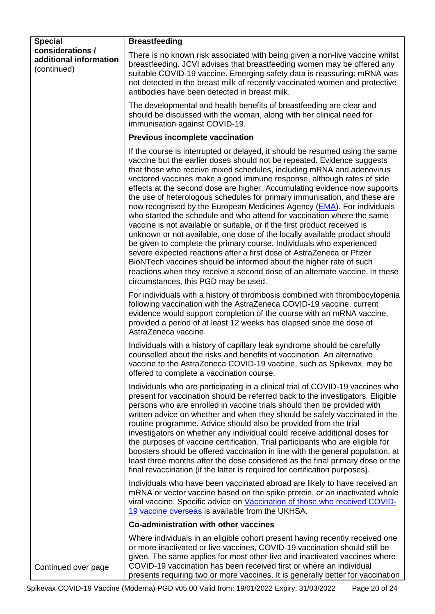<span id="page-19-1"></span><span id="page-19-0"></span>

| <b>Special</b>                                            | <b>Breastfeeding</b>                                                                                                                                                                                                                                                                                                                                                                                                                                                                                                                                                                                                                                                                                                                                                                                                                                                                                                                                                                                                                                                                                                             |
|-----------------------------------------------------------|----------------------------------------------------------------------------------------------------------------------------------------------------------------------------------------------------------------------------------------------------------------------------------------------------------------------------------------------------------------------------------------------------------------------------------------------------------------------------------------------------------------------------------------------------------------------------------------------------------------------------------------------------------------------------------------------------------------------------------------------------------------------------------------------------------------------------------------------------------------------------------------------------------------------------------------------------------------------------------------------------------------------------------------------------------------------------------------------------------------------------------|
| considerations /<br>additional information<br>(continued) | There is no known risk associated with being given a non-live vaccine whilst<br>breastfeeding. JCVI advises that breastfeeding women may be offered any<br>suitable COVID-19 vaccine. Emerging safety data is reassuring: mRNA was<br>not detected in the breast milk of recently vaccinated women and protective<br>antibodies have been detected in breast milk.                                                                                                                                                                                                                                                                                                                                                                                                                                                                                                                                                                                                                                                                                                                                                               |
|                                                           | The developmental and health benefits of breastfeeding are clear and<br>should be discussed with the woman, along with her clinical need for<br>immunisation against COVID-19.                                                                                                                                                                                                                                                                                                                                                                                                                                                                                                                                                                                                                                                                                                                                                                                                                                                                                                                                                   |
|                                                           | <b>Previous incomplete vaccination</b>                                                                                                                                                                                                                                                                                                                                                                                                                                                                                                                                                                                                                                                                                                                                                                                                                                                                                                                                                                                                                                                                                           |
|                                                           | If the course is interrupted or delayed, it should be resumed using the same<br>vaccine but the earlier doses should not be repeated. Evidence suggests<br>that those who receive mixed schedules, including mRNA and adenovirus<br>vectored vaccines make a good immune response, although rates of side<br>effects at the second dose are higher. Accumulating evidence now supports<br>the use of heterologous schedules for primary immunisation, and these are<br>now recognised by the European Medicines Agency (EMA). For individuals<br>who started the schedule and who attend for vaccination where the same<br>vaccine is not available or suitable, or if the first product received is<br>unknown or not available, one dose of the locally available product should<br>be given to complete the primary course. Individuals who experienced<br>severe expected reactions after a first dose of AstraZeneca or Pfizer<br>BioNTech vaccines should be informed about the higher rate of such<br>reactions when they receive a second dose of an alternate vaccine. In these<br>circumstances, this PGD may be used. |
|                                                           | For individuals with a history of thrombosis combined with thrombocytopenia<br>following vaccination with the AstraZeneca COVID-19 vaccine, current<br>evidence would support completion of the course with an mRNA vaccine,<br>provided a period of at least 12 weeks has elapsed since the dose of<br>AstraZeneca vaccine.                                                                                                                                                                                                                                                                                                                                                                                                                                                                                                                                                                                                                                                                                                                                                                                                     |
|                                                           | Individuals with a history of capillary leak syndrome should be carefully<br>counselled about the risks and benefits of vaccination. An alternative<br>vaccine to the AstraZeneca COVID-19 vaccine, such as Spikevax, may be<br>offered to complete a vaccination course.                                                                                                                                                                                                                                                                                                                                                                                                                                                                                                                                                                                                                                                                                                                                                                                                                                                        |
|                                                           | Individuals who are participating in a clinical trial of COVID-19 vaccines who<br>present for vaccination should be referred back to the investigators. Eligible<br>persons who are enrolled in vaccine trials should then be provided with<br>written advice on whether and when they should be safely vaccinated in the<br>routine programme. Advice should also be provided from the trial<br>investigators on whether any individual could receive additional doses for<br>the purposes of vaccine certification. Trial participants who are eligible for<br>boosters should be offered vaccination in line with the general population, at<br>least three months after the dose considered as the final primary dose or the<br>final revaccination (if the latter is required for certification purposes).                                                                                                                                                                                                                                                                                                                  |
|                                                           | Individuals who have been vaccinated abroad are likely to have received an<br>mRNA or vector vaccine based on the spike protein, or an inactivated whole<br>viral vaccine. Specific advice on Vaccination of those who received COVID-<br>19 vaccine overseas is available from the UKHSA.                                                                                                                                                                                                                                                                                                                                                                                                                                                                                                                                                                                                                                                                                                                                                                                                                                       |
|                                                           | Co-administration with other vaccines                                                                                                                                                                                                                                                                                                                                                                                                                                                                                                                                                                                                                                                                                                                                                                                                                                                                                                                                                                                                                                                                                            |
|                                                           | Where individuals in an eligible cohort present having recently received one<br>or more inactivated or live vaccines, COVID-19 vaccination should still be<br>given. The same applies for most other live and inactivated vaccines where                                                                                                                                                                                                                                                                                                                                                                                                                                                                                                                                                                                                                                                                                                                                                                                                                                                                                         |
| Continued over page                                       | COVID-19 vaccination has been received first or where an individual<br>presents requiring two or more vaccines. It is generally better for vaccination                                                                                                                                                                                                                                                                                                                                                                                                                                                                                                                                                                                                                                                                                                                                                                                                                                                                                                                                                                           |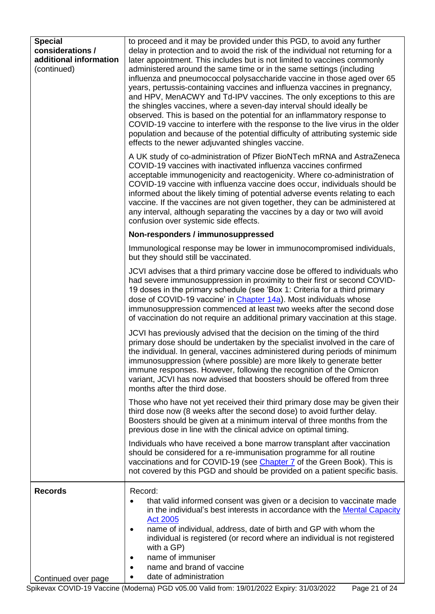<span id="page-20-0"></span>

| <b>Special</b><br>considerations /<br>additional information<br>(continued) | to proceed and it may be provided under this PGD, to avoid any further<br>delay in protection and to avoid the risk of the individual not returning for a<br>later appointment. This includes but is not limited to vaccines commonly<br>administered around the same time or in the same settings (including<br>influenza and pneumococcal polysaccharide vaccine in those aged over 65<br>years, pertussis-containing vaccines and influenza vaccines in pregnancy,<br>and HPV, MenACWY and Td-IPV vaccines. The only exceptions to this are<br>the shingles vaccines, where a seven-day interval should ideally be<br>observed. This is based on the potential for an inflammatory response to<br>COVID-19 vaccine to interfere with the response to the live virus in the older<br>population and because of the potential difficulty of attributing systemic side<br>effects to the newer adjuvanted shingles vaccine.<br>A UK study of co-administration of Pfizer BioNTech mRNA and AstraZeneca<br>COVID-19 vaccines with inactivated influenza vaccines confirmed<br>acceptable immunogenicity and reactogenicity. Where co-administration of<br>COVID-19 vaccine with influenza vaccine does occur, individuals should be<br>informed about the likely timing of potential adverse events relating to each<br>vaccine. If the vaccines are not given together, they can be administered at<br>any interval, although separating the vaccines by a day or two will avoid<br>confusion over systemic side effects. |
|-----------------------------------------------------------------------------|---------------------------------------------------------------------------------------------------------------------------------------------------------------------------------------------------------------------------------------------------------------------------------------------------------------------------------------------------------------------------------------------------------------------------------------------------------------------------------------------------------------------------------------------------------------------------------------------------------------------------------------------------------------------------------------------------------------------------------------------------------------------------------------------------------------------------------------------------------------------------------------------------------------------------------------------------------------------------------------------------------------------------------------------------------------------------------------------------------------------------------------------------------------------------------------------------------------------------------------------------------------------------------------------------------------------------------------------------------------------------------------------------------------------------------------------------------------------------------------------------------------------------|
|                                                                             | Non-responders / immunosuppressed                                                                                                                                                                                                                                                                                                                                                                                                                                                                                                                                                                                                                                                                                                                                                                                                                                                                                                                                                                                                                                                                                                                                                                                                                                                                                                                                                                                                                                                                                         |
|                                                                             | Immunological response may be lower in immunocompromised individuals,<br>but they should still be vaccinated.                                                                                                                                                                                                                                                                                                                                                                                                                                                                                                                                                                                                                                                                                                                                                                                                                                                                                                                                                                                                                                                                                                                                                                                                                                                                                                                                                                                                             |
|                                                                             | JCVI advises that a third primary vaccine dose be offered to individuals who<br>had severe immunosuppression in proximity to their first or second COVID-<br>19 doses in the primary schedule (see 'Box 1: Criteria for a third primary<br>dose of COVID-19 vaccine' in Chapter 14a). Most individuals whose<br>immunosuppression commenced at least two weeks after the second dose<br>of vaccination do not require an additional primary vaccination at this stage.                                                                                                                                                                                                                                                                                                                                                                                                                                                                                                                                                                                                                                                                                                                                                                                                                                                                                                                                                                                                                                                    |
|                                                                             | JCVI has previously advised that the decision on the timing of the third<br>primary dose should be undertaken by the specialist involved in the care of<br>the individual. In general, vaccines administered during periods of minimum<br>immunosuppression (where possible) are more likely to generate better<br>immune responses. However, following the recognition of the Omicron<br>variant, JCVI has now advised that boosters should be offered from three<br>months after the third dose.                                                                                                                                                                                                                                                                                                                                                                                                                                                                                                                                                                                                                                                                                                                                                                                                                                                                                                                                                                                                                        |
|                                                                             | Those who have not yet received their third primary dose may be given their<br>third dose now (8 weeks after the second dose) to avoid further delay.<br>Boosters should be given at a minimum interval of three months from the<br>previous dose in line with the clinical advice on optimal timing.                                                                                                                                                                                                                                                                                                                                                                                                                                                                                                                                                                                                                                                                                                                                                                                                                                                                                                                                                                                                                                                                                                                                                                                                                     |
|                                                                             | Individuals who have received a bone marrow transplant after vaccination<br>should be considered for a re-immunisation programme for all routine<br>vaccinations and for COVID-19 (see Chapter 7 of the Green Book). This is<br>not covered by this PGD and should be provided on a patient specific basis.                                                                                                                                                                                                                                                                                                                                                                                                                                                                                                                                                                                                                                                                                                                                                                                                                                                                                                                                                                                                                                                                                                                                                                                                               |
| <b>Records</b>                                                              | Record:<br>that valid informed consent was given or a decision to vaccinate made<br>in the individual's best interests in accordance with the Mental Capacity<br><b>Act 2005</b><br>name of individual, address, date of birth and GP with whom the<br>$\bullet$<br>individual is registered (or record where an individual is not registered<br>with a GP)<br>name of immuniser<br>name and brand of vaccine<br>date of administration                                                                                                                                                                                                                                                                                                                                                                                                                                                                                                                                                                                                                                                                                                                                                                                                                                                                                                                                                                                                                                                                                   |
| Continued over page                                                         |                                                                                                                                                                                                                                                                                                                                                                                                                                                                                                                                                                                                                                                                                                                                                                                                                                                                                                                                                                                                                                                                                                                                                                                                                                                                                                                                                                                                                                                                                                                           |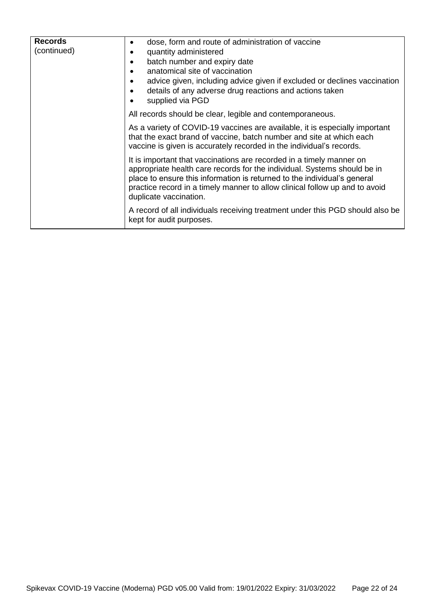| <b>Records</b><br>(continued) | dose, form and route of administration of vaccine<br>quantity administered<br>batch number and expiry date<br>anatomical site of vaccination<br>advice given, including advice given if excluded or declines vaccination<br>details of any adverse drug reactions and actions taken<br>supplied via PGD                               |
|-------------------------------|---------------------------------------------------------------------------------------------------------------------------------------------------------------------------------------------------------------------------------------------------------------------------------------------------------------------------------------|
|                               | All records should be clear, legible and contemporaneous.                                                                                                                                                                                                                                                                             |
|                               | As a variety of COVID-19 vaccines are available, it is especially important<br>that the exact brand of vaccine, batch number and site at which each<br>vaccine is given is accurately recorded in the individual's records.                                                                                                           |
|                               | It is important that vaccinations are recorded in a timely manner on<br>appropriate health care records for the individual. Systems should be in<br>place to ensure this information is returned to the individual's general<br>practice record in a timely manner to allow clinical follow up and to avoid<br>duplicate vaccination. |
|                               | A record of all individuals receiving treatment under this PGD should also be<br>kept for audit purposes.                                                                                                                                                                                                                             |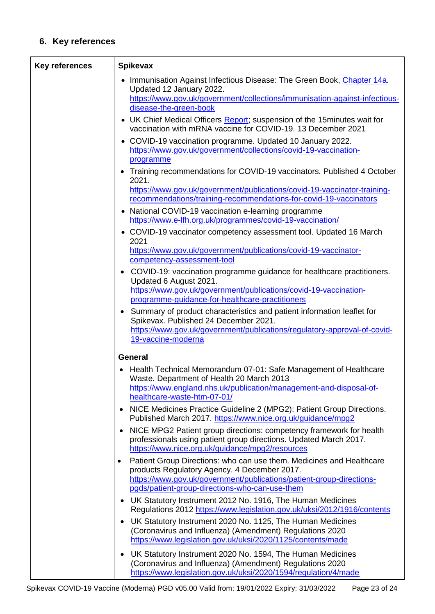# **6. Key references**

| <b>Key references</b> | <b>Spikevax</b>                                                                                                                                                                                                                                                                                          |
|-----------------------|----------------------------------------------------------------------------------------------------------------------------------------------------------------------------------------------------------------------------------------------------------------------------------------------------------|
|                       | Immunisation Against Infectious Disease: The Green Book, Chapter 14a.<br>Updated 12 January 2022.<br>https://www.gov.uk/government/collections/immunisation-against-infectious-<br>disease-the-green-book                                                                                                |
|                       | • UK Chief Medical Officers Report; suspension of the 15 minutes wait for<br>vaccination with mRNA vaccine for COVID-19, 13 December 2021                                                                                                                                                                |
|                       | • COVID-19 vaccination programme. Updated 10 January 2022.<br>https://www.gov.uk/government/collections/covid-19-vaccination-<br>programme                                                                                                                                                               |
|                       | • Training recommendations for COVID-19 vaccinators. Published 4 October<br>2021.<br>https://www.gov.uk/government/publications/covid-19-vaccinator-training-<br>recommendations/training-recommendations-for-covid-19-vaccinators                                                                       |
|                       | • National COVID-19 vaccination e-learning programme<br>https://www.e-lfh.org.uk/programmes/covid-19-vaccination/                                                                                                                                                                                        |
|                       | • COVID-19 vaccinator competency assessment tool. Updated 16 March<br>2021                                                                                                                                                                                                                               |
|                       | https://www.gov.uk/government/publications/covid-19-vaccinator-                                                                                                                                                                                                                                          |
|                       | competency-assessment-tool<br>COVID-19: vaccination programme guidance for healthcare practitioners.                                                                                                                                                                                                     |
|                       | Updated 6 August 2021.<br>https://www.gov.uk/government/publications/covid-19-vaccination-<br>programme-guidance-for-healthcare-practitioners                                                                                                                                                            |
|                       | • Summary of product characteristics and patient information leaflet for<br>Spikevax. Published 24 December 2021.<br>https://www.gov.uk/government/publications/regulatory-approval-of-covid-<br>19-vaccine-moderna                                                                                      |
|                       | <b>General</b>                                                                                                                                                                                                                                                                                           |
|                       | Health Technical Memorandum 07-01: Safe Management of Healthcare<br>Waste. Department of Health 20 March 2013<br>https://www.england.nhs.uk/publication/management-and-disposal-of-<br>healthcare-waste-htm-07-01/<br>NICE Medicines Practice Guideline 2 (MPG2): Patient Group Directions.<br>$\bullet$ |
|                       | Published March 2017. https://www.nice.org.uk/guidance/mpg2                                                                                                                                                                                                                                              |
|                       | NICE MPG2 Patient group directions: competency framework for health<br>$\bullet$<br>professionals using patient group directions. Updated March 2017.<br>https://www.nice.org.uk/guidance/mpg2/resources                                                                                                 |
|                       | Patient Group Directions: who can use them. Medicines and Healthcare<br>$\bullet$<br>products Regulatory Agency. 4 December 2017.<br>https://www.gov.uk/government/publications/patient-group-directions-                                                                                                |
|                       | pgds/patient-group-directions-who-can-use-them                                                                                                                                                                                                                                                           |
|                       | • UK Statutory Instrument 2012 No. 1916, The Human Medicines<br>Regulations 2012 https://www.legislation.gov.uk/uksi/2012/1916/contents                                                                                                                                                                  |
|                       | UK Statutory Instrument 2020 No. 1125, The Human Medicines<br>(Coronavirus and Influenza) (Amendment) Regulations 2020<br>https://www.legislation.gov.uk/uksi/2020/1125/contents/made                                                                                                                    |
|                       | UK Statutory Instrument 2020 No. 1594, The Human Medicines<br>$\bullet$<br>(Coronavirus and Influenza) (Amendment) Regulations 2020<br>https://www.legislation.gov.uk/uksi/2020/1594/regulation/4/made                                                                                                   |